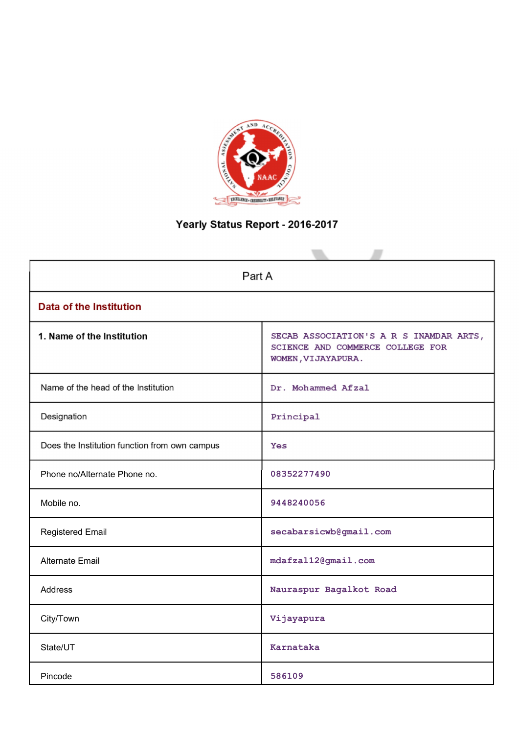

# Yearly Status Report - 2016-2017

| Part A                                        |                                                                                                   |
|-----------------------------------------------|---------------------------------------------------------------------------------------------------|
| <b>Data of the Institution</b>                |                                                                                                   |
| 1. Name of the Institution                    | SECAB ASSOCIATION'S A R S INAMDAR ARTS,<br>SCIENCE AND COMMERCE COLLEGE FOR<br>WOMEN, VIJAYAPURA. |
| Name of the head of the Institution           | Dr. Mohammed Afzal                                                                                |
| Designation                                   | Principal                                                                                         |
| Does the Institution function from own campus | Yes                                                                                               |
| Phone no/Alternate Phone no.                  | 08352277490                                                                                       |
| Mobile no.                                    | 9448240056                                                                                        |
| <b>Registered Email</b>                       | secabarsicwb@gmail.com                                                                            |
| <b>Alternate Email</b>                        | mdafzal12@gmail.com                                                                               |
| <b>Address</b>                                | Nauraspur Bagalkot Road                                                                           |
| City/Town                                     | Vijayapura                                                                                        |
| State/UT                                      | Karnataka                                                                                         |
| Pincode                                       | 586109                                                                                            |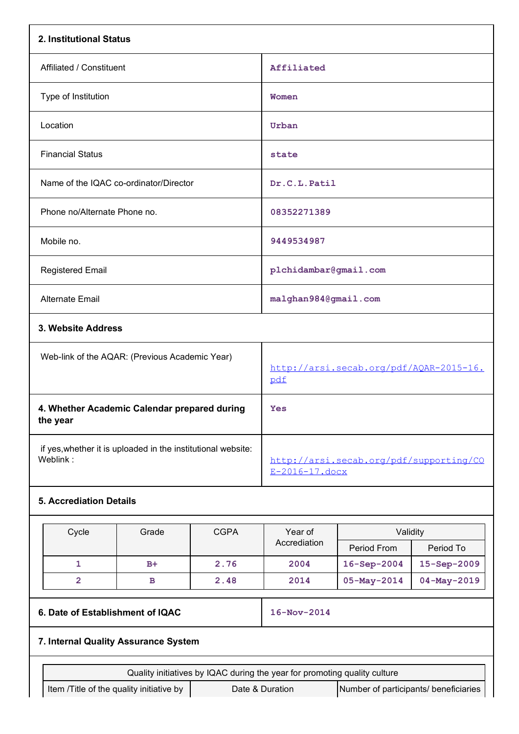| 2. Institutional Status          |                                                              |             |                                                                           |                                         |                   |  |  |
|----------------------------------|--------------------------------------------------------------|-------------|---------------------------------------------------------------------------|-----------------------------------------|-------------------|--|--|
| Affiliated / Constituent         |                                                              |             | Affiliated                                                                |                                         |                   |  |  |
| Type of Institution              |                                                              |             | Women                                                                     |                                         |                   |  |  |
| Location                         |                                                              |             | Urban                                                                     |                                         |                   |  |  |
| <b>Financial Status</b>          |                                                              |             | state                                                                     |                                         |                   |  |  |
|                                  | Name of the IQAC co-ordinator/Director                       |             | Dr.C.L. Patil                                                             |                                         |                   |  |  |
| Phone no/Alternate Phone no.     |                                                              |             | 08352271389                                                               |                                         |                   |  |  |
| Mobile no.                       |                                                              |             | 9449534987                                                                |                                         |                   |  |  |
| <b>Registered Email</b>          |                                                              |             | plchidambar@gmail.com                                                     |                                         |                   |  |  |
| <b>Alternate Email</b>           |                                                              |             | malghan984@gmail.com                                                      |                                         |                   |  |  |
| 3. Website Address               |                                                              |             |                                                                           |                                         |                   |  |  |
|                                  | Web-link of the AQAR: (Previous Academic Year)               |             | pdf                                                                       | http://arsi.secab.org/pdf/AQAR-2015-16. |                   |  |  |
| the year                         | 4. Whether Academic Calendar prepared during                 |             | Yes                                                                       |                                         |                   |  |  |
| Weblink:                         | if yes, whether it is uploaded in the institutional website: |             | E-2016-17.docx                                                            | http://arsi.secab.org/pdf/supporting/CO |                   |  |  |
| <b>5. Accrediation Details</b>   |                                                              |             |                                                                           |                                         |                   |  |  |
| Cycle                            | Grade                                                        | <b>CGPA</b> | Year of<br>Accrediation                                                   | Validity<br>Period From                 | Period To         |  |  |
| $\mathbf{1}$                     | $B+$                                                         | 2.76        | 2004                                                                      | 16-Sep-2004                             | 15-Sep-2009       |  |  |
| $\overline{2}$                   | в                                                            | 2.48        | 2014                                                                      | 05-May-2014                             | $04 - May - 2019$ |  |  |
| 6. Date of Establishment of IQAC |                                                              |             | 16-Nov-2014                                                               |                                         |                   |  |  |
|                                  | 7. Internal Quality Assurance System                         |             |                                                                           |                                         |                   |  |  |
|                                  |                                                              |             | Quality initiatives by IQAC during the year for promoting quality culture |                                         |                   |  |  |
|                                  | Item /Title of the quality initiative by                     |             | Date & Duration                                                           | Number of participants/ beneficiaries   |                   |  |  |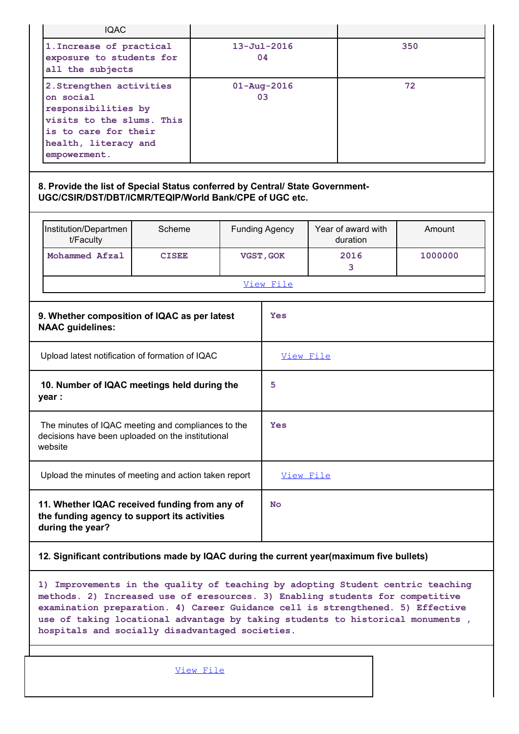| <b>IQAC</b>                                                                                                                                                                                                                                                                                                                                                                             |              |           |                         |                                |         |  |
|-----------------------------------------------------------------------------------------------------------------------------------------------------------------------------------------------------------------------------------------------------------------------------------------------------------------------------------------------------------------------------------------|--------------|-----------|-------------------------|--------------------------------|---------|--|
| 1. Increase of practical<br>exposure to students for<br>all the subjects                                                                                                                                                                                                                                                                                                                |              |           | $13 - Ju1 - 2016$<br>04 |                                | 350     |  |
| 2. Strengthen activities<br>on social<br>responsibilities by<br>visits to the slums. This<br>is to care for their<br>health, literacy and<br>empowerment.                                                                                                                                                                                                                               |              |           | $01 - Aug - 2016$<br>03 |                                | 72      |  |
| 8. Provide the list of Special Status conferred by Central/ State Government-<br>UGC/CSIR/DST/DBT/ICMR/TEQIP/World Bank/CPE of UGC etc.                                                                                                                                                                                                                                                 |              |           |                         |                                |         |  |
| Institution/Departmen<br>t/Faculty                                                                                                                                                                                                                                                                                                                                                      | Scheme       |           | <b>Funding Agency</b>   | Year of award with<br>duration | Amount  |  |
| Mohammed Afzal                                                                                                                                                                                                                                                                                                                                                                          | <b>CISEE</b> |           | VGST, GOK               | 2016<br>3                      | 1000000 |  |
|                                                                                                                                                                                                                                                                                                                                                                                         |              |           | View File               |                                |         |  |
| 9. Whether composition of IQAC as per latest<br><b>NAAC</b> guidelines:                                                                                                                                                                                                                                                                                                                 |              |           | Yes                     |                                |         |  |
| Upload latest notification of formation of IQAC                                                                                                                                                                                                                                                                                                                                         |              |           | View File               |                                |         |  |
| 10. Number of IQAC meetings held during the<br>year :                                                                                                                                                                                                                                                                                                                                   |              |           | 5                       |                                |         |  |
| The minutes of IQAC meeting and compliances to the<br>decisions have been uploaded on the institutional<br>website                                                                                                                                                                                                                                                                      |              |           | Yes                     |                                |         |  |
| Upload the minutes of meeting and action taken report                                                                                                                                                                                                                                                                                                                                   |              |           | View File               |                                |         |  |
| 11. Whether IQAC received funding from any of<br>the funding agency to support its activities<br>during the year?                                                                                                                                                                                                                                                                       |              |           | <b>No</b>               |                                |         |  |
| 12. Significant contributions made by IQAC during the current year (maximum five bullets)                                                                                                                                                                                                                                                                                               |              |           |                         |                                |         |  |
| 1) Improvements in the quality of teaching by adopting Student centric teaching<br>methods. 2) Increased use of eresources. 3) Enabling students for competitive<br>examination preparation. 4) Career Guidance cell is strengthened. 5) Effective<br>use of taking locational advantage by taking students to historical monuments,<br>hospitals and socially disadvantaged societies. |              |           |                         |                                |         |  |
|                                                                                                                                                                                                                                                                                                                                                                                         |              | View File |                         |                                |         |  |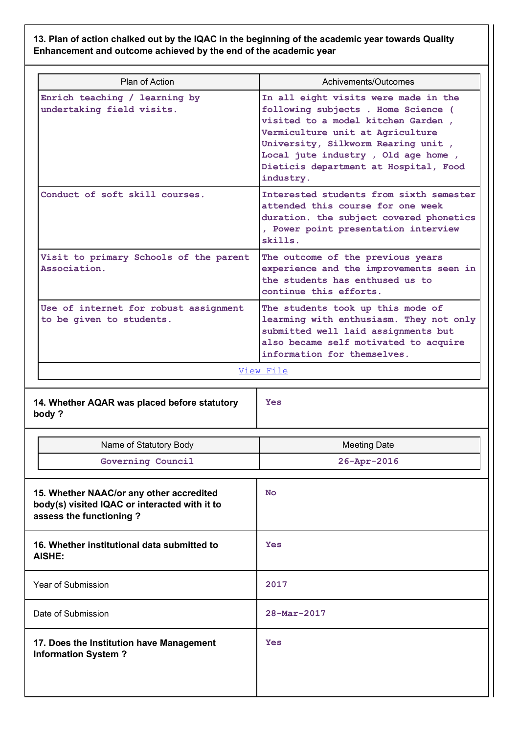# 13. Plan of action chalked out by the IQAC in the beginning of the academic year towards Quality Enhancement and outcome achieved by the end of the academic year

| Plan of Action                                                    | Achivements/Outcomes                                                                                                                                                                                                                                                                    |
|-------------------------------------------------------------------|-----------------------------------------------------------------------------------------------------------------------------------------------------------------------------------------------------------------------------------------------------------------------------------------|
| Enrich teaching / learning by<br>undertaking field visits.        | In all eight visits were made in the<br>following subjects . Home Science (<br>visited to a model kitchen Garden,<br>Vermiculture unit at Agriculture<br>University, Silkworm Rearing unit,<br>Local jute industry, Old age home,<br>Dieticis department at Hospital, Food<br>industry. |
| Conduct of soft skill courses.                                    | Interested students from sixth semester<br>attended this course for one week<br>duration. the subject covered phonetics<br>, Power point presentation interview<br>skills.                                                                                                              |
| Visit to primary Schools of the parent<br>Association.            | The outcome of the previous years<br>experience and the improvements seen in<br>the students has enthused us to<br>continue this efforts.                                                                                                                                               |
| Use of internet for robust assignment<br>to be given to students. | The students took up this mode of<br>learming with enthusiasm. They not only<br>submitted well laid assignments but<br>also became self motivated to acquire<br>information for themselves.                                                                                             |
|                                                                   | View File                                                                                                                                                                                                                                                                               |
| 14. Whether AQAR was placed before statutory<br>body?             | <b>Yes</b>                                                                                                                                                                                                                                                                              |
| Name of Statutory Body                                            | <b>Meeting Date</b>                                                                                                                                                                                                                                                                     |
| Governing Council                                                 | 26-Apr-2016                                                                                                                                                                                                                                                                             |

| Name of Statutory Body                                                                                            |           |
|-------------------------------------------------------------------------------------------------------------------|-----------|
| Governing Council                                                                                                 |           |
|                                                                                                                   |           |
| 15. Whether NAAC/or any other accredited<br>$h \circ d_1 / (a)$ wisited $I \cap A \cap a$ arintareated with it to | <b>No</b> |

| 15. Whether NAAC/or any other accredited<br>body(s) visited IQAC or interacted with it to<br>assess the functioning? | <b>No</b>   |
|----------------------------------------------------------------------------------------------------------------------|-------------|
| 16. Whether institutional data submitted to<br><b>AISHE:</b>                                                         | <b>Yes</b>  |
| Year of Submission                                                                                                   | 2017        |
| Date of Submission                                                                                                   | 28-Mar-2017 |
| 17. Does the Institution have Management<br><b>Information System?</b>                                               | Yes         |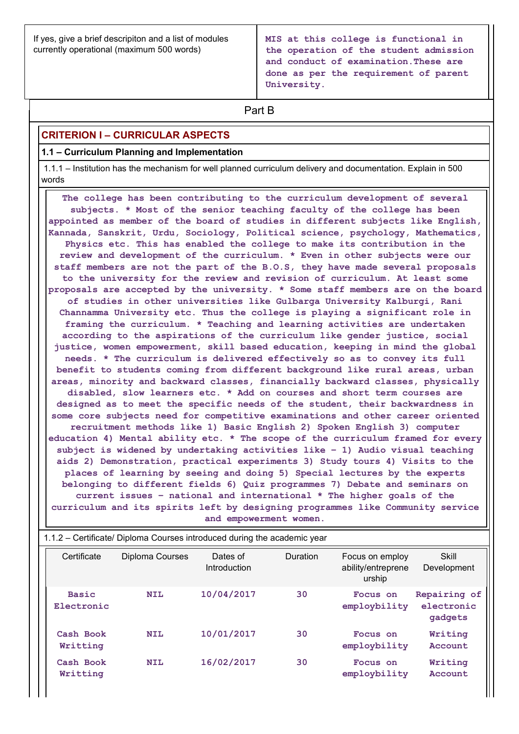If yes, give a brief descripiton and a list of modules currently operational (maximum 500 words)

MIS at this college is functional in the operation of the student admission and conduct of examination.These are done as per the requirement of parent University.

# **Part B Part B**

# CRITERION I – CURRICULAR ASPECTS

#### 1.1 – Curriculum Planning and Implementation

 1.1.1 – Institution has the mechanism for well planned curriculum delivery and documentation. Explain in 500 words

 The college has been contributing to the curriculum development of several subjects. \* Most of the senior teaching faculty of the college has been appointed as member of the board of studies in different subjects like English, Kannada, Sanskrit, Urdu, Sociology, Political science, psychology, Mathematics, Physics etc. This has enabled the college to make its contribution in the review and development of the curriculum. \* Even in other subjects were our staff members are not the part of the B.O.S, they have made several proposals to the university for the review and revision of curriculum. At least some proposals are accepted by the university. \* Some staff members are on the board of studies in other universities like Gulbarga University Kalburgi, Rani Channamma University etc. Thus the college is playing a significant role in framing the curriculum. \* Teaching and learning activities are undertaken according to the aspirations of the curriculum like gender justice, social justice, women empowerment, skill based education, keeping in mind the global needs. \* The curriculum is delivered effectively so as to convey its full benefit to students coming from different background like rural areas, urban areas, minority and backward classes, financially backward classes, physically disabled, slow learners etc. \* Add on courses and short term courses are designed as to meet the specific needs of the student, their backwardness in some core subjects need for competitive examinations and other career oriented recruitment methods like 1) Basic English 2) Spoken English 3) computer education 4) Mental ability etc. \* The scope of the curriculum framed for every subject is widened by undertaking activities like – 1) Audio visual teaching aids 2) Demonstration, practical experiments 3) Study tours 4) Visits to the places of learning by seeing and doing 5) Special lectures by the experts belonging to different fields 6) Quiz programmes 7) Debate and seminars on current issues – national and international \* The higher goals of the curriculum and its spirits left by designing programmes like Community service and empowerment women. according to the aspirations of the curriculum like gender justice, social<br>
jusice, women empowerment, skill based education, keeping in midd the global<br>
needs. \* The curriculum is delivered effectively so as to convey its

|                            | disabled, slow learners etc. * Add on courses and short term courses are<br>designed as to meet the specific needs of the student, their backwardness in<br>some core subjects need for competitive examinations and other career oriented<br>recruitment methods like 1) Basic English 2) Spoken English 3) computer<br>education 4) Mental ability etc. * The scope of the curriculum framed for every<br>subject is widened by undertaking activities like $-1$ ) Audio visual teaching<br>aids 2) Demonstration, practical experiments 3) Study tours 4) Visits to the<br>places of learning by seeing and doing 5) Special lectures by the experts<br>belonging to different fields 6) Quiz programmes 7) Debate and seminars on<br>current issues - national and international * The higher goals of the<br>curriculum and its spirits left by designing programmes like Community service | and empowerment women.   |          |                                                 |                                       |
|----------------------------|--------------------------------------------------------------------------------------------------------------------------------------------------------------------------------------------------------------------------------------------------------------------------------------------------------------------------------------------------------------------------------------------------------------------------------------------------------------------------------------------------------------------------------------------------------------------------------------------------------------------------------------------------------------------------------------------------------------------------------------------------------------------------------------------------------------------------------------------------------------------------------------------------|--------------------------|----------|-------------------------------------------------|---------------------------------------|
|                            | 1.1.2 - Certificate/ Diploma Courses introduced during the academic year                                                                                                                                                                                                                                                                                                                                                                                                                                                                                                                                                                                                                                                                                                                                                                                                                         |                          |          |                                                 |                                       |
| Certificate                | Diploma Courses                                                                                                                                                                                                                                                                                                                                                                                                                                                                                                                                                                                                                                                                                                                                                                                                                                                                                  | Dates of<br>Introduction | Duration | Focus on employ<br>ability/entreprene<br>urship | <b>Skill</b><br>Development           |
| <b>Basic</b><br>Electronic | <b>NIL</b>                                                                                                                                                                                                                                                                                                                                                                                                                                                                                                                                                                                                                                                                                                                                                                                                                                                                                       | 10/04/2017               | 30       | Focus on<br>employbility                        | Repairing of<br>electronic<br>gadgets |
| Cash Book<br>Writting      | <b>NIL</b>                                                                                                                                                                                                                                                                                                                                                                                                                                                                                                                                                                                                                                                                                                                                                                                                                                                                                       | 10/01/2017               | 30       | Focus on<br>employbility                        | Writing<br>Account                    |
| Cash Book<br>Writting      | <b>NIL</b>                                                                                                                                                                                                                                                                                                                                                                                                                                                                                                                                                                                                                                                                                                                                                                                                                                                                                       | 16/02/2017               | 30       | Focus on<br>employbility                        | Writing<br>Account                    |

# 1.1.2 – Certificate/ Diploma Courses introduced during the academic year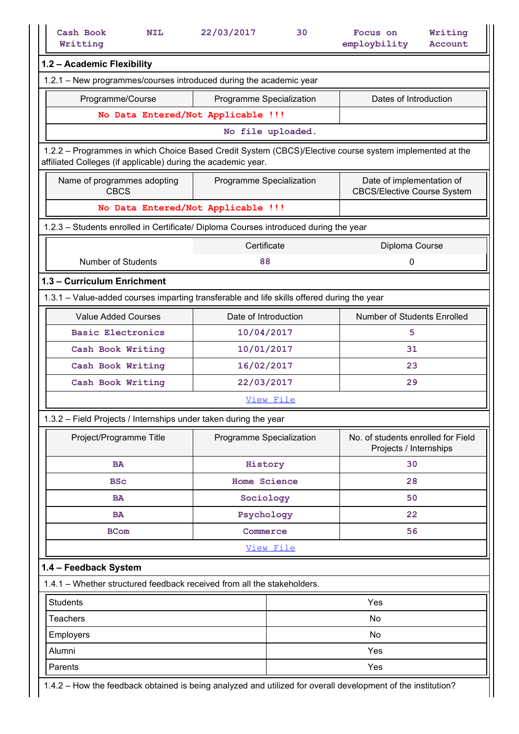| Writting                                                                                                                                                                 | 22/03/2017<br>30         | Writing<br>Focus on                                          |
|--------------------------------------------------------------------------------------------------------------------------------------------------------------------------|--------------------------|--------------------------------------------------------------|
|                                                                                                                                                                          |                          | employbility<br>Account                                      |
| 1.2 - Academic Flexibility                                                                                                                                               |                          |                                                              |
| 1.2.1 - New programmes/courses introduced during the academic year                                                                                                       |                          |                                                              |
| Programme/Course                                                                                                                                                         | Programme Specialization | Dates of Introduction                                        |
| No Data Entered/Not Applicable !!!                                                                                                                                       |                          |                                                              |
|                                                                                                                                                                          | No file uploaded.        |                                                              |
| 1.2.2 - Programmes in which Choice Based Credit System (CBCS)/Elective course system implemented at the<br>affiliated Colleges (if applicable) during the academic year. |                          |                                                              |
| Name of programmes adopting                                                                                                                                              | Programme Specialization | Date of implementation of                                    |
| <b>CBCS</b>                                                                                                                                                              |                          | <b>CBCS/Elective Course System</b>                           |
| No Data Entered/Not Applicable !!!                                                                                                                                       |                          |                                                              |
| 1.2.3 - Students enrolled in Certificate/ Diploma Courses introduced during the year                                                                                     |                          |                                                              |
|                                                                                                                                                                          | Certificate              | Diploma Course                                               |
| <b>Number of Students</b>                                                                                                                                                | 88                       | $\boldsymbol{0}$                                             |
| 1.3 - Curriculum Enrichment                                                                                                                                              |                          |                                                              |
| 1.3.1 - Value-added courses imparting transferable and life skills offered during the year                                                                               |                          |                                                              |
| <b>Value Added Courses</b>                                                                                                                                               | Date of Introduction     | Number of Students Enrolled                                  |
| <b>Basic Electronics</b>                                                                                                                                                 | 10/04/2017               | 5                                                            |
| Cash Book Writing                                                                                                                                                        | 10/01/2017               | 31                                                           |
| Cash Book Writing                                                                                                                                                        | 16/02/2017               | 23                                                           |
| Cash Book Writing                                                                                                                                                        | 22/03/2017               | 29                                                           |
|                                                                                                                                                                          | View File                |                                                              |
|                                                                                                                                                                          |                          |                                                              |
| 1.3.2 - Field Projects / Internships under taken during the year                                                                                                         |                          |                                                              |
| Project/Programme Title                                                                                                                                                  | Programme Specialization | No. of students enrolled for Field<br>Projects / Internships |
| <b>BA</b>                                                                                                                                                                | History                  | 30                                                           |
| <b>BSc</b>                                                                                                                                                               | <b>Home Science</b>      | 28                                                           |
| <b>BA</b>                                                                                                                                                                | Sociology                | 50                                                           |
| <b>BA</b>                                                                                                                                                                | Psychology               | 22                                                           |
| <b>BCom</b>                                                                                                                                                              | Commerce                 | 56                                                           |
|                                                                                                                                                                          | View File                |                                                              |
| 1.4 - Feedback System                                                                                                                                                    |                          |                                                              |
| 1.4.1 - Whether structured feedback received from all the stakeholders.                                                                                                  |                          |                                                              |
| <b>Students</b>                                                                                                                                                          |                          | Yes                                                          |
|                                                                                                                                                                          |                          |                                                              |
|                                                                                                                                                                          |                          | No                                                           |
| Teachers                                                                                                                                                                 |                          |                                                              |
| Employers                                                                                                                                                                |                          | No                                                           |
| Alumni<br>Parents                                                                                                                                                        |                          | Yes<br>Yes                                                   |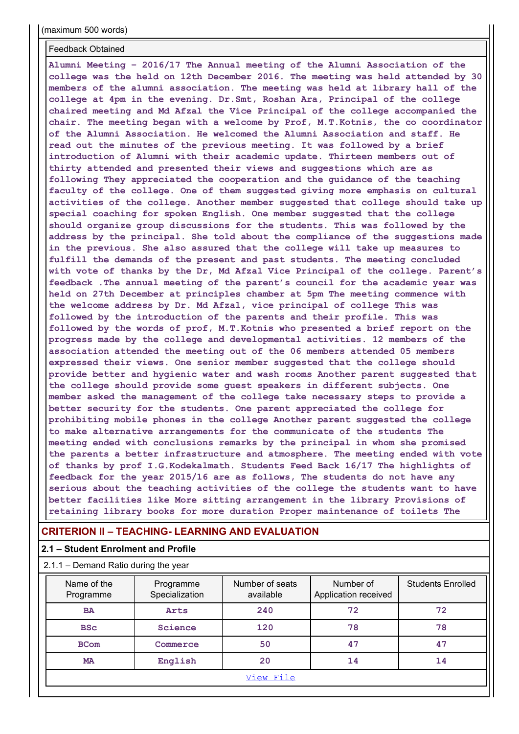(maximum 500 words)

#### Feedback Obtained

Alumni Meeting – 2016/17 The Annual meeting of the Alumni Association of the college was the held on 12th December 2016. The meeting was held attended by 30 members of the alumni association. The meeting was held at library hall of the college at 4pm in the evening. Dr.Smt, Roshan Ara, Principal of the college chaired meeting and Md Afzal the Vice Principal of the college accompanied the chair. The meeting began with a welcome by Prof, M.T.Kotnis, the co coordinator of the Alumni Association. He welcomed the Alumni Association and staff. He read out the minutes of the previous meeting. It was followed by a brief introduction of Alumni with their academic update. Thirteen members out of thirty attended and presented their views and suggestions which are as following They appreciated the cooperation and the guidance of the teaching faculty of the college. One of them suggested giving more emphasis on cultural activities of the college. Another member suggested that college should take up special coaching for spoken English. One member suggested that the college should organize group discussions for the students. This was followed by the address by the principal. She told about the compliance of the suggestions made in the previous. She also assured that the college will take up measures to fulfill the demands of the present and past students. The meeting concluded with vote of thanks by the Dr, Md Afzal Vice Principal of the college. Parent's feedback .The annual meeting of the parent's council for the academic year was held on 27th December at principles chamber at 5pm The meeting commence with the welcome address by Dr. Md Afzal, vice principal of college This was followed by the introduction of the parents and their profile. This was followed by the words of prof, M.T.Kotnis who presented a brief report on the progress made by the college and developmental activities. 12 members of the association attended the meeting out of the 06 members attended 05 members expressed their views. One senior member suggested that the college should provide better and hygienic water and wash rooms Another parent suggested that the college should provide some guest speakers in different subjects. One member asked the management of the college take necessary steps to provide a better security for the students. One parent appreciated the college for prohibiting mobile phones in the college Another parent suggested the college to make alternative arrangements for the communicate of the students The meeting ended with conclusions remarks by the principal in whom she promised the parents a better infrastructure and atmosphere. The meeting ended with vote of thanks by prof I.G.Kodekalmath. Students Feed Back 16/17 The highlights of feedback for the year 2015/16 are as follows, The students do not have any serious about the teaching activities of the college the students want to have better facilities like More sitting arrangement in the library Provisions of retaining library books for more duration Proper maintenance of toilets The

#### CRITERION II – TEACHING- LEARNING AND EVALUATION

#### 2.1 – Student Enrolment and Profile

| 2.1.1 – Demand Ratio during the year |  |
|--------------------------------------|--|
|--------------------------------------|--|

| 2.1 - Student Enrolment and Profile<br>2.1.1 – Demand Ratio during the year | <b>CRITERION II – TEACHING- LEARNING AND EVALUATION</b> |                              | the parents a better infrastructure and atmosphere. The meeting ended with vote<br>of thanks by prof I.G.Kodekalmath. Students Feed Back 16/17 The highlights of<br>feedback for the year 2015/16 are as follows, The students do not have any<br>serious about the teaching activities of the college the students want to have<br>better facilities like More sitting arrangement in the library Provisions of<br>retaining library books for more duration Proper maintenance of toilets The |                          |
|-----------------------------------------------------------------------------|---------------------------------------------------------|------------------------------|-------------------------------------------------------------------------------------------------------------------------------------------------------------------------------------------------------------------------------------------------------------------------------------------------------------------------------------------------------------------------------------------------------------------------------------------------------------------------------------------------|--------------------------|
|                                                                             |                                                         |                              |                                                                                                                                                                                                                                                                                                                                                                                                                                                                                                 |                          |
|                                                                             |                                                         |                              |                                                                                                                                                                                                                                                                                                                                                                                                                                                                                                 |                          |
|                                                                             |                                                         |                              |                                                                                                                                                                                                                                                                                                                                                                                                                                                                                                 |                          |
|                                                                             |                                                         |                              |                                                                                                                                                                                                                                                                                                                                                                                                                                                                                                 |                          |
| Name of the<br>Programme                                                    | Programme<br>Specialization                             | Number of seats<br>available | Number of<br>Application received                                                                                                                                                                                                                                                                                                                                                                                                                                                               | <b>Students Enrolled</b> |
| <b>BA</b>                                                                   | Arts                                                    | 240                          | 72                                                                                                                                                                                                                                                                                                                                                                                                                                                                                              | 72                       |
| <b>BSc</b>                                                                  | Science                                                 | 120                          | 78                                                                                                                                                                                                                                                                                                                                                                                                                                                                                              | 78                       |
| <b>BCom</b>                                                                 | Commerce                                                | 50                           | 47                                                                                                                                                                                                                                                                                                                                                                                                                                                                                              | 47                       |
| <b>MA</b>                                                                   | English                                                 | 20                           | 14                                                                                                                                                                                                                                                                                                                                                                                                                                                                                              | 14                       |
|                                                                             |                                                         | View File                    |                                                                                                                                                                                                                                                                                                                                                                                                                                                                                                 |                          |
|                                                                             |                                                         |                              |                                                                                                                                                                                                                                                                                                                                                                                                                                                                                                 |                          |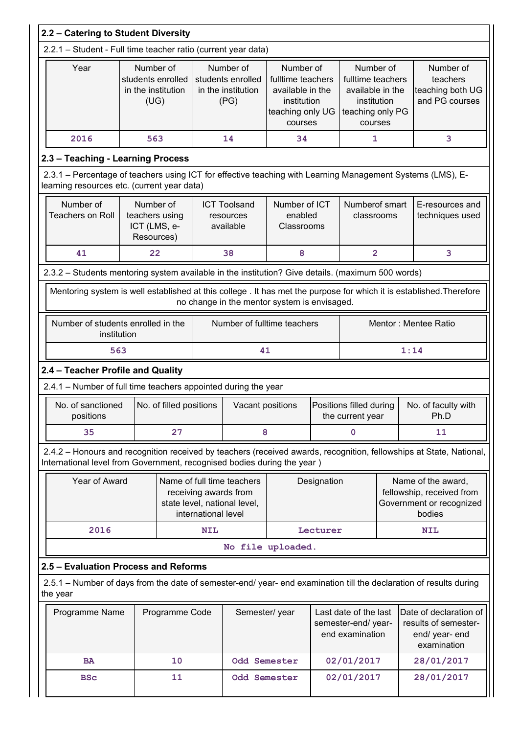|          |                                | 2.2 - Catering to Student Diversity                                                                                                                       |                     |                                                              |                                                                                                  |             |                                                                                                  |      |                                                                                                                     |
|----------|--------------------------------|-----------------------------------------------------------------------------------------------------------------------------------------------------------|---------------------|--------------------------------------------------------------|--------------------------------------------------------------------------------------------------|-------------|--------------------------------------------------------------------------------------------------|------|---------------------------------------------------------------------------------------------------------------------|
|          |                                | 2.2.1 - Student - Full time teacher ratio (current year data)                                                                                             |                     |                                                              |                                                                                                  |             |                                                                                                  |      |                                                                                                                     |
|          | Year                           | Number of<br>students enrolled<br>in the institution<br>(UG)                                                                                              |                     | Number of<br>students enrolled<br>in the institution<br>(PG) | Number of<br>fulltime teachers<br>available in the<br>institution<br>teaching only UG<br>courses |             | Number of<br>fulltime teachers<br>available in the<br>institution<br>teaching only PG<br>courses |      | Number of<br>teachers<br>teaching both UG<br>and PG courses                                                         |
|          | 2016                           | 563                                                                                                                                                       |                     | 14                                                           | 34                                                                                               |             | 1                                                                                                |      | 3                                                                                                                   |
|          |                                | 2.3 - Teaching - Learning Process                                                                                                                         |                     |                                                              |                                                                                                  |             |                                                                                                  |      |                                                                                                                     |
|          |                                | 2.3.1 - Percentage of teachers using ICT for effective teaching with Learning Management Systems (LMS), E-<br>learning resources etc. (current year data) |                     |                                                              |                                                                                                  |             |                                                                                                  |      |                                                                                                                     |
|          | Number of<br>Teachers on Roll  | Number of<br>teachers using<br>ICT (LMS, e-<br>Resources)                                                                                                 |                     | <b>ICT Toolsand</b><br>resources<br>available                | Number of ICT<br>enabled<br>Classrooms                                                           |             | Numberof smart<br>classrooms                                                                     |      | E-resources and<br>techniques used                                                                                  |
|          | 41                             | 22                                                                                                                                                        |                     | 38                                                           | 8                                                                                                |             | $\overline{2}$                                                                                   |      | 3                                                                                                                   |
|          |                                | 2.3.2 - Students mentoring system available in the institution? Give details. (maximum 500 words)                                                         |                     |                                                              |                                                                                                  |             |                                                                                                  |      |                                                                                                                     |
|          |                                | Mentoring system is well established at this college. It has met the purpose for which it is established. Therefore                                       |                     |                                                              |                                                                                                  |             |                                                                                                  |      |                                                                                                                     |
|          |                                |                                                                                                                                                           |                     | no change in the mentor system is envisaged.                 |                                                                                                  |             |                                                                                                  |      |                                                                                                                     |
|          | institution                    | Number of students enrolled in the                                                                                                                        |                     | Number of fulltime teachers                                  |                                                                                                  |             |                                                                                                  |      | Mentor: Mentee Ratio                                                                                                |
|          | 563                            |                                                                                                                                                           |                     | 41                                                           |                                                                                                  |             |                                                                                                  | 1:14 |                                                                                                                     |
|          |                                | 2.4 - Teacher Profile and Quality                                                                                                                         |                     |                                                              |                                                                                                  |             |                                                                                                  |      |                                                                                                                     |
|          |                                | 2.4.1 - Number of full time teachers appointed during the year                                                                                            |                     |                                                              |                                                                                                  |             |                                                                                                  |      |                                                                                                                     |
|          | No. of sanctioned<br>positions | No. of filled positions                                                                                                                                   |                     | Vacant positions                                             |                                                                                                  |             | Positions filled during<br>the current year                                                      |      | No. of faculty with<br>Ph.D                                                                                         |
|          | 35                             | 27                                                                                                                                                        |                     | 8                                                            |                                                                                                  |             | $\mathbf 0$                                                                                      |      | 11                                                                                                                  |
|          |                                | International level from Government, recognised bodies during the year)                                                                                   |                     |                                                              |                                                                                                  |             |                                                                                                  |      | 2.4.2 - Honours and recognition received by teachers (received awards, recognition, fellowships at State, National, |
|          | Year of Award                  |                                                                                                                                                           |                     | Name of full time teachers                                   |                                                                                                  | Designation |                                                                                                  |      | Name of the award,                                                                                                  |
|          |                                |                                                                                                                                                           |                     | receiving awards from                                        |                                                                                                  |             |                                                                                                  |      | fellowship, received from                                                                                           |
|          |                                |                                                                                                                                                           | international level | state level, national level,                                 |                                                                                                  |             |                                                                                                  |      | Government or recognized<br>bodies                                                                                  |
|          | 2016                           |                                                                                                                                                           | <b>NIL</b>          |                                                              |                                                                                                  | Lecturer    |                                                                                                  |      | <b>NIL</b>                                                                                                          |
|          |                                |                                                                                                                                                           |                     | No file uploaded.                                            |                                                                                                  |             |                                                                                                  |      |                                                                                                                     |
|          |                                | 2.5 - Evaluation Process and Reforms                                                                                                                      |                     |                                                              |                                                                                                  |             |                                                                                                  |      |                                                                                                                     |
|          |                                | 2.5.1 – Number of days from the date of semester-end/ year- end examination till the declaration of results during                                        |                     |                                                              |                                                                                                  |             |                                                                                                  |      |                                                                                                                     |
| the year |                                |                                                                                                                                                           |                     |                                                              |                                                                                                  |             |                                                                                                  |      | Last date of the last   Date of declaration of                                                                      |
|          | Programme Name                 | Programme Code                                                                                                                                            |                     | Semester/year                                                |                                                                                                  |             | end examination                                                                                  |      | semester-end/ year-   results of semester-<br>end/ year- end<br>examination                                         |
|          | <b>BA</b>                      | 10                                                                                                                                                        |                     | Odd Semester                                                 |                                                                                                  |             | 02/01/2017                                                                                       |      | 28/01/2017                                                                                                          |
|          | <b>BSc</b>                     | 11                                                                                                                                                        |                     | Odd Semester                                                 |                                                                                                  |             | 02/01/2017                                                                                       |      | 28/01/2017                                                                                                          |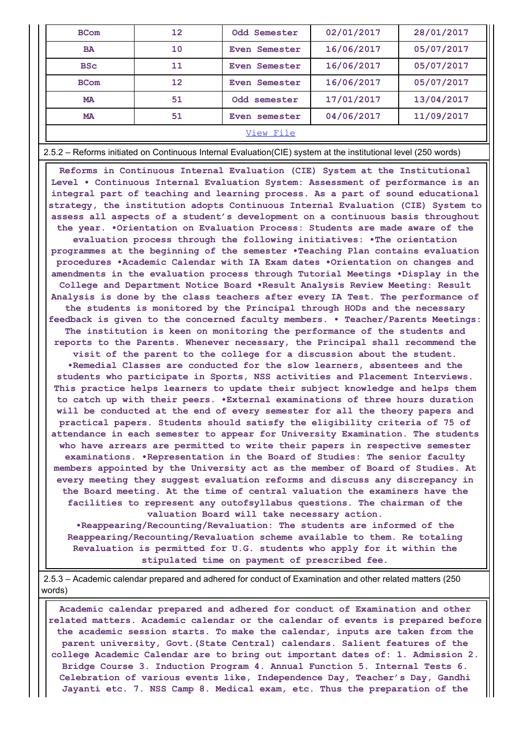| <b>BCom</b> | 12 | Odd Semester                                                                                                   | 02/01/2017 | 28/01/2017 |
|-------------|----|----------------------------------------------------------------------------------------------------------------|------------|------------|
| <b>BA</b>   | 10 | Even Semester                                                                                                  | 16/06/2017 | 05/07/2017 |
| <b>BSc</b>  | 11 | Even Semester                                                                                                  | 16/06/2017 | 05/07/2017 |
| <b>BCom</b> | 12 | Even Semester                                                                                                  | 16/06/2017 | 05/07/2017 |
| MA          | 51 | Odd semester                                                                                                   | 17/01/2017 | 13/04/2017 |
| <b>MA</b>   | 51 | Even semester                                                                                                  | 04/06/2017 | 11/09/2017 |
|             |    | View File                                                                                                      |            |            |
|             |    | 2.5.2 - Reforms initiated on Continuous Internal Evaluation(CIE) system at the institutional level (250 words) |            |            |

 Reforms in Continuous Internal Evaluation (CIE) System at the Institutional Level • Continuous Internal Evaluation System: Assessment of performance is an integral part of teaching and learning process. As a part of sound educational strategy, the institution adopts Continuous Internal Evaluation (CIE) System to assess all aspects of a student's development on a continuous basis throughout the year. •Orientation on Evaluation Process: Students are made aware of the

evaluation process through the following initiatives: •The orientation programmes at the beginning of the semester •Teaching Plan contains evaluation procedures •Academic Calendar with IA Exam dates •Orientation on changes and amendments in the evaluation process through Tutorial Meetings •Display in the College and Department Notice Board •Result Analysis Review Meeting: Result Analysis is done by the class teachers after every IA Test. The performance of the students is monitored by the Principal through HODs and the necessary feedback is given to the concerned faculty members. • Teacher/Parents Meetings: The institution is keen on monitoring the performance of the students and reports to the Parents. Whenever necessary, the Principal shall recommend the visit of the parent to the college for a discussion about the student. •Remedial Classes are conducted for the slow learners, absentees and the students who participate in Sports, NSS activities and Placement Interviews. This practice helps learners to update their subject knowledge and helps them to catch up with their peers. •External examinations of three hours duration will be conducted at the end of every semester for all the theory papers and practical papers. Students should satisfy the eligibility criteria of 75 of attendance in each semester to appear for University Examination. The students who have arrears are permitted to write their papers in respective semester examinations. •Representation in the Board of Studies: The senior faculty members appointed by the University act as the member of Board of Studies. At every meeting they suggest evaluation reforms and discuss any discrepancy in the Board meeting. At the time of central valuation the examiners have the facilities to represent any outofsyllabus questions. The chairman of the

valuation Board will take necessary action.

•Reappearing/Recounting/Revaluation: The students are informed of the Reappearing/Recounting/Revaluation scheme available to them. Re totaling Revaluation is permitted for U.G. students who apply for it within the stipulated time on payment of prescribed fee.

 2.5.3 – Academic calendar prepared and adhered for conduct of Examination and other related matters (250 words)

 Academic calendar prepared and adhered for conduct of Examination and other related matters. Academic calendar or the calendar of events is prepared before the academic session starts. To make the calendar, inputs are taken from the parent university, Govt.(State Central) calendars. Salient features of the college Academic Calendar are to bring out important dates of: 1. Admission 2. Bridge Course 3. Induction Program 4. Annual Function 5. Internal Tests 6. Celebration of various events like, Independence Day, Teacher's Day, Gandhi Jayanti etc. 7. NSS Camp 8. Medical exam, etc. Thus the preparation of the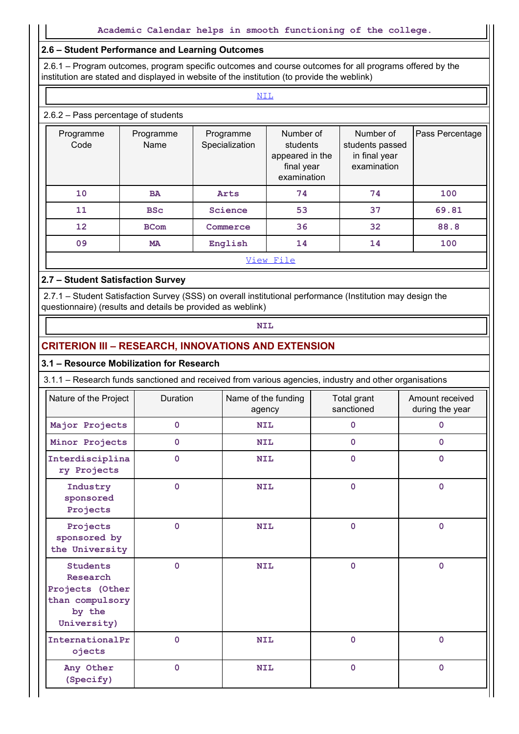# 2.6 – Student Performance and Learning Outcomes

# 2.6.2 – Pass percentage of students

| 2.6 - Student Performance and Learning Outcomes                                                                                                                                                        |                   |                             |                                                                       |                                                              |                 |
|--------------------------------------------------------------------------------------------------------------------------------------------------------------------------------------------------------|-------------------|-----------------------------|-----------------------------------------------------------------------|--------------------------------------------------------------|-----------------|
| 2.6.1 – Program outcomes, program specific outcomes and course outcomes for all programs offered by the<br>institution are stated and displayed in website of the institution (to provide the weblink) |                   |                             |                                                                       |                                                              |                 |
|                                                                                                                                                                                                        |                   |                             | <b>NIL</b>                                                            |                                                              |                 |
| 2.6.2 - Pass percentage of students                                                                                                                                                                    |                   |                             |                                                                       |                                                              |                 |
| Programme<br>Code                                                                                                                                                                                      | Programme<br>Name | Programme<br>Specialization | Number of<br>students<br>appeared in the<br>final year<br>examination | Number of<br>students passed<br>in final year<br>examination | Pass Percentage |
| 10                                                                                                                                                                                                     | <b>BA</b>         | Arts                        | 74                                                                    | 74                                                           | 100             |
| 11                                                                                                                                                                                                     | <b>BSc</b>        | Science                     | 53                                                                    | 37                                                           | 69.81           |
| 12                                                                                                                                                                                                     | <b>BCom</b>       | Commerce                    | 36                                                                    | 32                                                           | 88.8            |
| 09                                                                                                                                                                                                     | <b>MA</b>         | English                     | 14                                                                    | 14                                                           | 100             |
|                                                                                                                                                                                                        |                   |                             | View File                                                             |                                                              |                 |

#### 2.7 – Student Satisfaction Survey

#### CRITERION III – RESEARCH, INNOVATIONS AND EXTENSION

#### 3.1 – Resource Mobilization for Research

| 12                                                                                         | <b>BCom</b>    | Commerce                                                                                                                                                                  | 36        | 32                        | 88.8                               |
|--------------------------------------------------------------------------------------------|----------------|---------------------------------------------------------------------------------------------------------------------------------------------------------------------------|-----------|---------------------------|------------------------------------|
| 09                                                                                         | <b>MA</b>      | English                                                                                                                                                                   | 14        | 14                        | 100                                |
|                                                                                            |                |                                                                                                                                                                           | View File |                           |                                    |
| 2.7 - Student Satisfaction Survey                                                          |                |                                                                                                                                                                           |           |                           |                                    |
|                                                                                            |                | 2.7.1 - Student Satisfaction Survey (SSS) on overall institutional performance (Institution may design the<br>questionnaire) (results and details be provided as weblink) |           |                           |                                    |
|                                                                                            |                | <b>NIL</b>                                                                                                                                                                |           |                           |                                    |
|                                                                                            |                | <b>CRITERION III - RESEARCH, INNOVATIONS AND EXTENSION</b>                                                                                                                |           |                           |                                    |
| 3.1 - Resource Mobilization for Research                                                   |                |                                                                                                                                                                           |           |                           |                                    |
|                                                                                            |                | 3.1.1 - Research funds sanctioned and received from various agencies, industry and other organisations                                                                    |           |                           |                                    |
| Nature of the Project                                                                      | Duration       | Name of the funding<br>agency                                                                                                                                             |           | Total grant<br>sanctioned | Amount received<br>during the year |
| Major Projects                                                                             | $\mathbf 0$    | <b>NIL</b>                                                                                                                                                                |           | $\mathbf 0$               | $\mathbf{0}$                       |
| Minor Projects                                                                             | $\mathbf 0$    | <b>NIL</b>                                                                                                                                                                |           | $\mathbf 0$               | $\mathbf{0}$                       |
| Interdisciplina<br>ry Projects                                                             | $\mathbf 0$    | <b>NIL</b>                                                                                                                                                                |           | $\mathbf 0$               | $\mathbf{0}$                       |
| Industry<br>sponsored<br>Projects                                                          | $\mathbf{0}$   | <b>NIL</b>                                                                                                                                                                |           | $\mathbf 0$               | $\mathbf 0$                        |
| Projects<br>sponsored by<br>the University                                                 | $\mathbf{0}$   | <b>NIL</b>                                                                                                                                                                |           | $\mathbf 0$               | $\mathbf{0}$                       |
| <b>Students</b><br>Research<br>Projects (Other<br>than compulsory<br>by the<br>University) | $\mathbf 0$    | <b>NIL</b>                                                                                                                                                                |           | $\mathbf 0$               | $\mathbf 0$                        |
| InternationalPr<br>ojects                                                                  | $\mathbf 0$    | <b>NIL</b>                                                                                                                                                                |           | $\mathbf 0$               | $\mathbf{O}$                       |
| Any Other<br>(Specify)                                                                     | $\overline{0}$ | <b>NIL</b>                                                                                                                                                                |           | $\mathbf{O}$              | $\overline{0}$                     |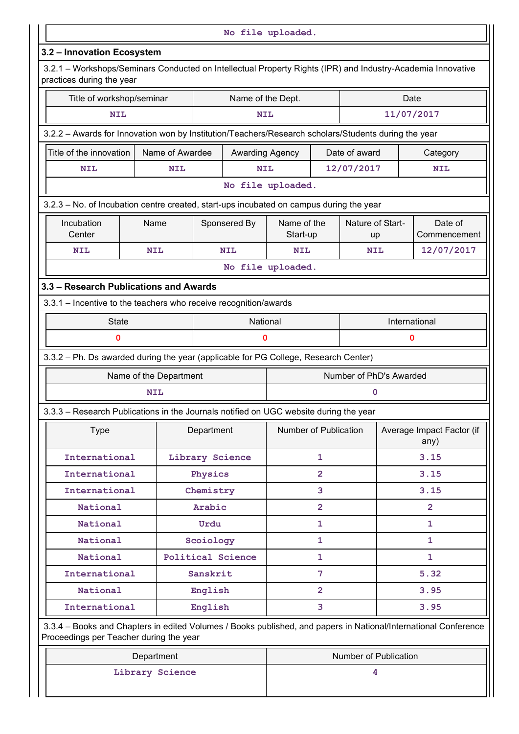|                                                                                                                                          |                                      |                        |                        | No file uploaded.                                                                                    |                              |                        |                                   |  |  |
|------------------------------------------------------------------------------------------------------------------------------------------|--------------------------------------|------------------------|------------------------|------------------------------------------------------------------------------------------------------|------------------------------|------------------------|-----------------------------------|--|--|
| 3.2 - Innovation Ecosystem                                                                                                               |                                      |                        |                        |                                                                                                      |                              |                        |                                   |  |  |
| 3.2.1 - Workshops/Seminars Conducted on Intellectual Property Rights (IPR) and Industry-Academia Innovative<br>practices during the year |                                      |                        |                        |                                                                                                      |                              |                        |                                   |  |  |
| Title of workshop/seminar                                                                                                                |                                      |                        | Name of the Dept.      |                                                                                                      | Date                         |                        |                                   |  |  |
| <b>NIL</b>                                                                                                                               |                                      |                        | <b>NIL</b>             |                                                                                                      |                              | 11/07/2017             |                                   |  |  |
|                                                                                                                                          |                                      |                        |                        | 3.2.2 - Awards for Innovation won by Institution/Teachers/Research scholars/Students during the year |                              |                        |                                   |  |  |
| Title of the innovation                                                                                                                  | Name of Awardee                      |                        | <b>Awarding Agency</b> |                                                                                                      | Date of award                | Category               |                                   |  |  |
| <b>NIL</b><br><b>NIL</b>                                                                                                                 |                                      | <b>NIL</b>             |                        | 12/07/2017                                                                                           |                              | <b>NIL</b>             |                                   |  |  |
|                                                                                                                                          |                                      |                        |                        | No file uploaded.                                                                                    |                              |                        |                                   |  |  |
| 3.2.3 - No. of Incubation centre created, start-ups incubated on campus during the year                                                  |                                      |                        |                        |                                                                                                      |                              |                        |                                   |  |  |
| Incubation<br>Center                                                                                                                     | Name                                 |                        | Sponsered By           | Name of the<br>Start-up                                                                              |                              | Nature of Start-<br>up | Date of<br>Commencement           |  |  |
| <b>NIL</b>                                                                                                                               | <b>NIL</b>                           |                        | <b>NIL</b>             | <b>NIL</b>                                                                                           |                              | <b>NIL</b>             | 12/07/2017                        |  |  |
|                                                                                                                                          |                                      |                        |                        | No file uploaded.                                                                                    |                              |                        |                                   |  |  |
| 3.3 - Research Publications and Awards                                                                                                   |                                      |                        |                        |                                                                                                      |                              |                        |                                   |  |  |
| 3.3.1 - Incentive to the teachers who receive recognition/awards                                                                         |                                      |                        |                        |                                                                                                      |                              |                        |                                   |  |  |
| <b>State</b>                                                                                                                             | National                             |                        |                        |                                                                                                      | International<br>$\mathbf 0$ |                        |                                   |  |  |
| $\mathbf 0$                                                                                                                              |                                      |                        | 0                      |                                                                                                      |                              |                        |                                   |  |  |
| 3.3.2 - Ph. Ds awarded during the year (applicable for PG College, Research Center)                                                      |                                      |                        |                        |                                                                                                      |                              |                        |                                   |  |  |
|                                                                                                                                          |                                      | Name of the Department |                        |                                                                                                      | Number of PhD's Awarded      |                        |                                   |  |  |
|                                                                                                                                          | <b>NIL</b>                           |                        |                        |                                                                                                      |                              | $\mathbf 0$            |                                   |  |  |
| 3.3.3 - Research Publications in the Journals notified on UGC website during the year                                                    |                                      |                        |                        |                                                                                                      |                              |                        |                                   |  |  |
| Type                                                                                                                                     | Department                           |                        |                        | Number of Publication                                                                                |                              |                        | Average Impact Factor (if<br>any) |  |  |
| International                                                                                                                            |                                      | Library Science        |                        | $\mathbf{1}$                                                                                         |                              | 3.15                   |                                   |  |  |
| International                                                                                                                            |                                      | Physics                |                        | $\overline{2}$                                                                                       |                              |                        | 3.15                              |  |  |
| International                                                                                                                            |                                      | Chemistry              |                        | 3                                                                                                    |                              |                        | 3.15                              |  |  |
| National                                                                                                                                 |                                      | Arabic                 |                        | $\overline{2}$                                                                                       |                              | $\overline{2}$         |                                   |  |  |
| National                                                                                                                                 | Urdu                                 |                        | 1                      |                                                                                                      | $\mathbf{1}$                 |                        |                                   |  |  |
|                                                                                                                                          | National<br>Scoiology                |                        | 1<br>$\mathbf{1}$      |                                                                                                      |                              | 1<br>$\mathbf{1}$      |                                   |  |  |
| International                                                                                                                            | National<br><b>Political Science</b> |                        | 7                      |                                                                                                      |                              | 5.32                   |                                   |  |  |
| National                                                                                                                                 |                                      | Sanskrit<br>English    |                        | $\overline{2}$                                                                                       |                              |                        | 3.95                              |  |  |
| International                                                                                                                            |                                      | English                |                        | 3                                                                                                    |                              |                        | 3.95                              |  |  |
| 3.3.4 - Books and Chapters in edited Volumes / Books published, and papers in National/International Conference                          |                                      |                        |                        |                                                                                                      |                              |                        |                                   |  |  |
| Proceedings per Teacher during the year                                                                                                  |                                      |                        |                        |                                                                                                      |                              |                        |                                   |  |  |
|                                                                                                                                          | Department                           |                        |                        |                                                                                                      | Number of Publication        |                        |                                   |  |  |
|                                                                                                                                          | Library Science                      |                        |                        |                                                                                                      |                              | 4                      |                                   |  |  |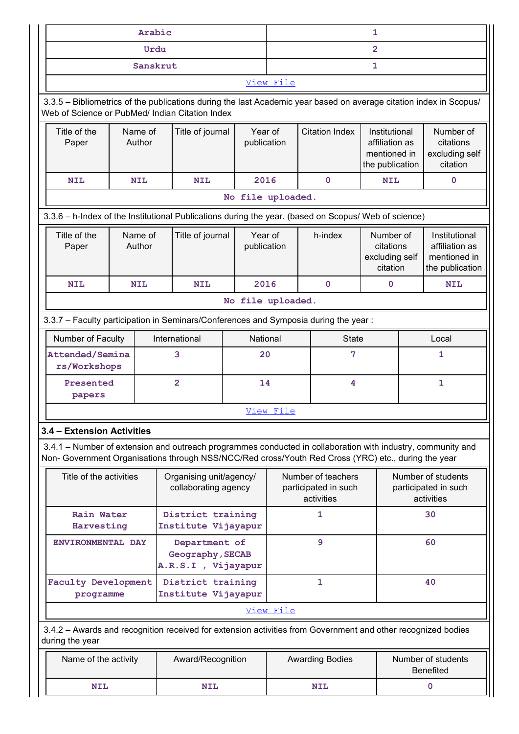|                                                                                                                                                                                                                                                               | Arabic                            |                         |                        |                                    |                        | $\mathbf{1}$                                                       |                                    |                                                                    |  |
|---------------------------------------------------------------------------------------------------------------------------------------------------------------------------------------------------------------------------------------------------------------|-----------------------------------|-------------------------|------------------------|------------------------------------|------------------------|--------------------------------------------------------------------|------------------------------------|--------------------------------------------------------------------|--|
|                                                                                                                                                                                                                                                               | Urdu                              |                         |                        | $\overline{2}$                     |                        |                                                                    |                                    |                                                                    |  |
|                                                                                                                                                                                                                                                               | Sanskrut                          |                         |                        |                                    |                        | $\mathbf{1}$                                                       |                                    |                                                                    |  |
|                                                                                                                                                                                                                                                               |                                   |                         |                        | View File                          |                        |                                                                    |                                    |                                                                    |  |
| 3.3.5 - Bibliometrics of the publications during the last Academic year based on average citation index in Scopus/<br>Web of Science or PubMed/ Indian Citation Index                                                                                         |                                   |                         |                        |                                    |                        |                                                                    |                                    |                                                                    |  |
| Title of the<br>Paper                                                                                                                                                                                                                                         | Name of<br>Author                 | Title of journal        | Year of<br>publication |                                    | <b>Citation Index</b>  | Institutional<br>affiliation as<br>mentioned in<br>the publication |                                    | Number of<br>citations<br>excluding self<br>citation               |  |
| <b>NIL</b>                                                                                                                                                                                                                                                    | <b>NIL</b>                        | <b>NIL</b>              | 2016                   |                                    | $\mathbf 0$            | <b>NIL</b>                                                         |                                    | $\mathbf 0$                                                        |  |
|                                                                                                                                                                                                                                                               |                                   |                         | No file uploaded.      |                                    |                        |                                                                    |                                    |                                                                    |  |
| 3.3.6 - h-Index of the Institutional Publications during the year. (based on Scopus/ Web of science)                                                                                                                                                          |                                   |                         |                        |                                    |                        |                                                                    |                                    |                                                                    |  |
| Title of the<br>Paper                                                                                                                                                                                                                                         | Name of<br>Author                 | Title of journal        | Year of<br>publication |                                    | h-index                | Number of<br>citations<br>excluding self<br>citation               |                                    | Institutional<br>affiliation as<br>mentioned in<br>the publication |  |
| <b>NIL</b>                                                                                                                                                                                                                                                    | <b>NIL</b>                        | <b>NIL</b>              | 2016                   |                                    | $\mathbf 0$            | $\mathbf 0$                                                        |                                    | <b>NIL</b>                                                         |  |
|                                                                                                                                                                                                                                                               |                                   |                         | No file uploaded.      |                                    |                        |                                                                    |                                    |                                                                    |  |
| 3.3.7 - Faculty participation in Seminars/Conferences and Symposia during the year:<br>Number of Faculty                                                                                                                                                      |                                   | International           | National               |                                    | State                  |                                                                    |                                    | Local                                                              |  |
| Attended/Semina<br>rs/Workshops                                                                                                                                                                                                                               |                                   | 3                       | 20                     | 7                                  |                        |                                                                    |                                    | 1                                                                  |  |
| papers                                                                                                                                                                                                                                                        | $\overline{2}$<br>14<br>Presented |                         |                        | 4                                  |                        | $\mathbf{1}$                                                       |                                    |                                                                    |  |
|                                                                                                                                                                                                                                                               |                                   |                         |                        | View File                          |                        |                                                                    |                                    |                                                                    |  |
| 3.4 - Extension Activities                                                                                                                                                                                                                                    |                                   |                         |                        |                                    |                        |                                                                    |                                    |                                                                    |  |
| 3.4.1 - Number of extension and outreach programmes conducted in collaboration with industry, community and<br>Non- Government Organisations through NSS/NCC/Red cross/Youth Red Cross (YRC) etc., during the year                                            |                                   |                         |                        |                                    |                        |                                                                    |                                    |                                                                    |  |
| Title of the activities                                                                                                                                                                                                                                       |                                   | Organising unit/agency/ |                        |                                    | Number of teachers     |                                                                    |                                    | Number of students                                                 |  |
| collaborating agency<br>Rain Water<br>District training<br>Institute Vijayapur<br>Harvesting<br>Department of<br>ENVIRONMENTAL DAY<br>Geography, SECAB<br>A.R.S.I , Vijayapur<br>Faculty Development<br>District training<br>Institute Vijayapur<br>programme |                                   |                         |                        | participated in such<br>activities |                        |                                                                    | participated in such<br>activities |                                                                    |  |
|                                                                                                                                                                                                                                                               |                                   |                         |                        | 1                                  |                        |                                                                    | 30                                 |                                                                    |  |
|                                                                                                                                                                                                                                                               |                                   |                         |                        | $\overline{9}$                     |                        |                                                                    | 60                                 |                                                                    |  |
|                                                                                                                                                                                                                                                               |                                   |                         | $\mathbf{1}$           |                                    |                        | 40                                                                 |                                    |                                                                    |  |
|                                                                                                                                                                                                                                                               |                                   | View File               |                        |                                    |                        |                                                                    |                                    |                                                                    |  |
| 3.4.2 - Awards and recognition received for extension activities from Government and other recognized bodies<br>during the year                                                                                                                               |                                   |                         |                        |                                    |                        |                                                                    |                                    |                                                                    |  |
| Name of the activity                                                                                                                                                                                                                                          |                                   | Award/Recognition       |                        |                                    | <b>Awarding Bodies</b> |                                                                    |                                    | Number of students<br>Benefited                                    |  |
| $\textbf{NIL}$                                                                                                                                                                                                                                                |                                   | <b>NIL</b>              |                        |                                    | <b>NIL</b>             |                                                                    |                                    | $\mathbf 0$                                                        |  |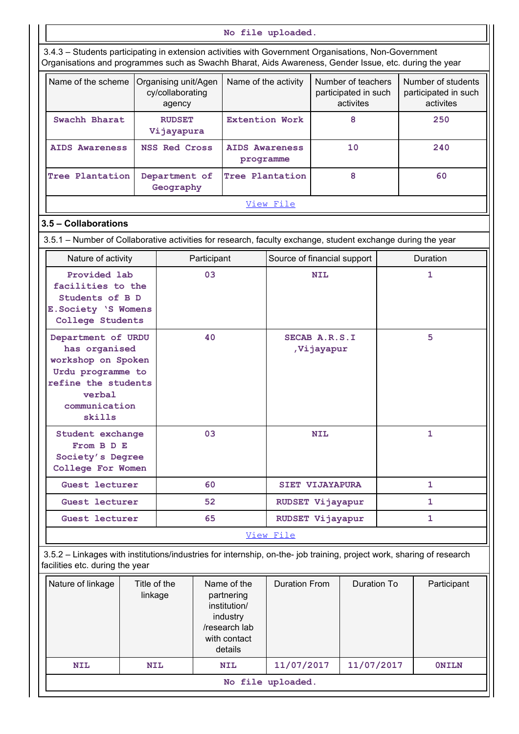No file uploaded. 3.4.3 – Students participating in extension activities with Government Organisations, Non-Government Organisations and programmes such as Swachh Bharat, Aids Awareness, Gender Issue, etc. during the year Name of the scheme  $\sqrt{2}$  Organising unit/Agen  $\sqrt{2}$  Name of the activity  $\sqrt{2}$  Number of teachers cy/collaborating  $\vert$   $\vert$   $\vert$   $\vert$   $\vert$  participated in such agency No file uploaded.<br>
I dies with Government Organisations, Non-Government<br>
I Bharat, Aids Awareness, Gender Issue, etc. during the year<br>
Name of the activity Number of teachers<br>
participated in such<br>
participated in such<br>
ac participated in such participated in such activites activites Number of students No file uploaded.<br>
Students participating in extension activities with Government Organisations, Non-Government<br>
ganisations and programmes such as Swachh Bharat, Aids Awareness, Gender Issue, etc. during the y<br>
lame of th Vijayapura No file uploaded.<br>
Ities with Government Organisations, Non-Government<br>
Bharat, Aids Awareness, Gender Issue, etc. during the year<br>
Name of the activity<br>
Number of teachers<br>
participated in such<br>
activites<br>
Extention Work No file uploaded.<br>
4.3 – Students participating in extension activities with Government Organisations, Non-Government<br>
ganisations and programmes such as Swachh Bharat, Aids Awareness, Gender Issue, etc. during the year<br>
N programme tions, Non-Government<br>
der Issue, etc. during the year<br>
of teachers<br>
Number of students<br>
ted in such<br>
participated in such<br>
activites<br>
8<br>
250<br>
10<br>
240<br>
8<br>
60<br>
8<br>
60 Model and Department Cycle and Northern Cycle and Department of the scheme of the scheme of the scheme of the scheme of the scheme of the scheme of the scheme of the scheme of the activity of the activity of the activity o Geography No file uploaded.<br>
Mo files with Government Organisations, Non-Government<br>
h Bharat, Aids Awareness, Gender Issue, etc. during the year<br>
Name of the activity Number of teachers<br>
Name of the activity Number of teachers<br>
par View File 3.5 – Collaborations 3.5.1 – Number of Collaborative activities for research, faculty exchange, student exchange during the year Nature of activity **Participant** Source of financial support | Duration Provided lab  $\vert$  03 facilities to the Students of B D E.Society 'S Womens College Students den Name of the activity<br>
<br>
Participated in such<br>
participated in such<br>
activites<br>
<br>
Extention Work<br>
B<br>
Extention Work<br>
B<br>
Extention Work<br>
B<br>
Programme<br>
Tree Plantation 8 60<br>
<br>
<br>
<u>View File</u><br>
File<br>
For research, faculty ex Department of URDU | 40 SECAB A.R.S.I has organised workshop on Spoken Urdu programme to refine the students verbal communication skills MIDS Awareness<br>
programme<br>
for Tree Plantation 8 60<br>
View File<br>
(or research, faculty exchange, student exchange during the year<br>
(or research, faculty exchange, student exchange during the year<br>
(or research, faculty exch ,Vijayapur 5 Student exchange 03 From B D E Society's Degree College For Women For research, faculty exchange, student exchange during the year<br>
Source of financial support Duration<br>
03 NIL 1<br>
93 NIL 5<br>
7 Vijayapur<br>
2003 NIL 1<br>
03 NIL 1<br>
06 SET VIJAYAPURA 1<br>
52 RUDSET Vijayapur<br>
1 Nitridents of BD<br>
Society 'S Womens<br>
College Students<br>
partment of URDU<br>
has organised<br>
has organised<br>
the programme to<br>
the students<br>
The the students<br>
on Spoken<br>
The the students<br>
or William Communication<br>
Sills<br>
cont Wo Students of BD<br>
Society 'S Womens<br>
ollege Students<br>
partment of UDDU<br>
has organised<br>
rkshop on Spoken<br>
rkshop on Spoken<br>
rkshop on Spoken<br>
From BD E<br>
From BD E<br>
contains<br>
where the students<br>
communication<br>
switch as the st Cullege Studients<br>
Data organised<br>
has organised her studients<br>
the best studients of the studients<br>
or where the studients<br>
or where the studients<br>
where the studients<br>
where the studients<br>
where studients<br>
where the stud View File 3.5.2 – Linkages with institutions/industries for internship, on-the- job training, project work, sharing of research facilities etc. during the year Nature of linkage  $\vert$  Title of the  $\vert$  Name of the linkage partnering Duration From | Duration To institution/ industry /research lab with contact details NIL 1<br>
SIET VIJAYAPURA 1<br>
RUDSET Vijayapur 1<br>
RUDSET Vijayapur 1<br>
RUDSET Vijayapur 1<br>
File<br>
--the-job training, project work, sharing of research<br>
Duration From Duration To Participant<br>
Duration From Duration To Participan NET VITAYAPURA<br>
Set lecturer 60 SIET VITAYAPURA 1<br>
Set lecturer 52 RUDSET Vijayapur 1<br>
Set lecturer 65 RUDSET Vijayapur 1<br>
LINKages with institutions/industries for internship, on-the-job training, project work, sharing of

No file uploaded.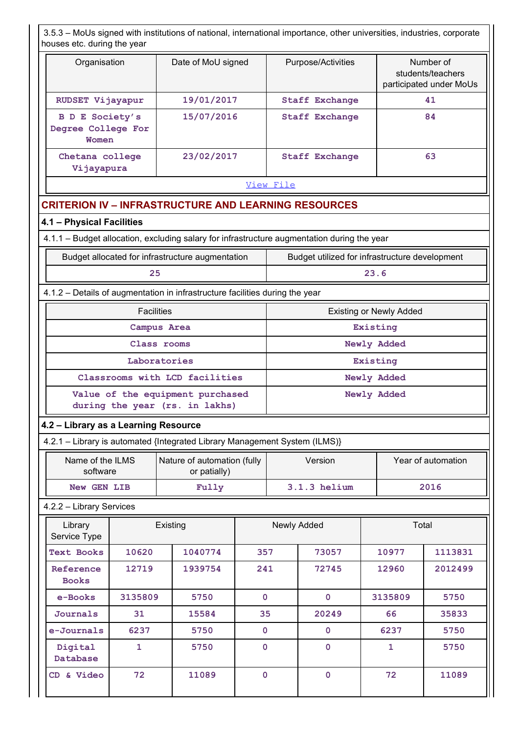| 3.5.3 - MoUs signed with institutions of national, international importance, other universities, industries, corporate<br>houses etc. during the year |                    |                                                |                                                           |  |  |  |
|-------------------------------------------------------------------------------------------------------------------------------------------------------|--------------------|------------------------------------------------|-----------------------------------------------------------|--|--|--|
| Organisation                                                                                                                                          | Date of MoU signed | Purpose/Activities                             | Number of<br>students/teachers<br>participated under MoUs |  |  |  |
| RUDSET Vijayapur                                                                                                                                      | 19/01/2017         | <b>Staff Exchange</b>                          | 41                                                        |  |  |  |
| <b>B D E Society's</b><br>Degree College For<br>Women                                                                                                 | 15/07/2016         | <b>Staff Exchange</b>                          | 84                                                        |  |  |  |
| Chetana college<br>Vijayapura                                                                                                                         | 23/02/2017         | <b>Staff Exchange</b>                          | 63                                                        |  |  |  |
|                                                                                                                                                       |                    | View File                                      |                                                           |  |  |  |
| <b>CRITERION IV - INFRASTRUCTURE AND LEARNING RESOURCES</b>                                                                                           |                    |                                                |                                                           |  |  |  |
| 4.1 - Physical Facilities                                                                                                                             |                    |                                                |                                                           |  |  |  |
| 4.1.1 - Budget allocation, excluding salary for infrastructure augmentation during the year                                                           |                    |                                                |                                                           |  |  |  |
| Budget allocated for infrastructure augmentation                                                                                                      |                    | Budget utilized for infrastructure development |                                                           |  |  |  |
| 25                                                                                                                                                    |                    |                                                | 23.6                                                      |  |  |  |
| 4.1.2 - Details of augmentation in infrastructure facilities during the year                                                                          |                    |                                                |                                                           |  |  |  |
| Facilities                                                                                                                                            |                    |                                                | <b>Existing or Newly Added</b>                            |  |  |  |
|                                                                                                                                                       | Campus Area        |                                                | Existing                                                  |  |  |  |
|                                                                                                                                                       | Class rooms        |                                                | Newly Added                                               |  |  |  |

#### View File

# CRITERION IV – INFRASTRUCTURE AND LEARNING RESOURCES

#### 4.1 – Physical Facilities

| Budget allocated for infrastructure augmentation | Budget utilized for infrastructure development |
|--------------------------------------------------|------------------------------------------------|
|                                                  |                                                |

#### 4.1.2 – Details of augmentation in infrastructure facilities during the year

| Degree College For<br>Women                                                                        |                   |                                                                                             |             |                                |             |                    |  |  |
|----------------------------------------------------------------------------------------------------|-------------------|---------------------------------------------------------------------------------------------|-------------|--------------------------------|-------------|--------------------|--|--|
| Chetana college<br>Vijayapura                                                                      |                   | 23/02/2017                                                                                  |             | <b>Staff Exchange</b>          |             | 63                 |  |  |
|                                                                                                    |                   |                                                                                             | View File   |                                |             |                    |  |  |
|                                                                                                    |                   | <b>CRITERION IV - INFRASTRUCTURE AND LEARNING RESOURCES</b>                                 |             |                                |             |                    |  |  |
| 4.1 - Physical Facilities                                                                          |                   |                                                                                             |             |                                |             |                    |  |  |
|                                                                                                    |                   | 4.1.1 - Budget allocation, excluding salary for infrastructure augmentation during the year |             |                                |             |                    |  |  |
| Budget allocated for infrastructure augmentation<br>Budget utilized for infrastructure development |                   |                                                                                             |             |                                |             |                    |  |  |
|                                                                                                    | 25                |                                                                                             |             | 23.6                           |             |                    |  |  |
|                                                                                                    |                   | 4.1.2 - Details of augmentation in infrastructure facilities during the year                |             |                                |             |                    |  |  |
|                                                                                                    | <b>Facilities</b> |                                                                                             |             | <b>Existing or Newly Added</b> |             |                    |  |  |
|                                                                                                    |                   | Campus Area                                                                                 |             |                                | Existing    |                    |  |  |
|                                                                                                    |                   | Class rooms                                                                                 |             | Newly Added<br>Existing        |             |                    |  |  |
|                                                                                                    |                   | Laboratories                                                                                |             |                                |             |                    |  |  |
|                                                                                                    |                   | Classrooms with LCD facilities                                                              | Newly Added |                                |             |                    |  |  |
|                                                                                                    |                   | Value of the equipment purchased<br>during the year (rs. in lakhs)                          |             |                                | Newly Added |                    |  |  |
| 4.2 - Library as a Learning Resource                                                               |                   |                                                                                             |             |                                |             |                    |  |  |
|                                                                                                    |                   | 4.2.1 - Library is automated {Integrated Library Management System (ILMS)}                  |             |                                |             |                    |  |  |
| Name of the ILMS<br>software                                                                       |                   | Nature of automation (fully<br>or patially)                                                 |             | Version                        |             | Year of automation |  |  |
| New GEN LIB<br>Fully                                                                               |                   |                                                                                             |             | 3.1.3 helium                   |             | 2016               |  |  |
| 4.2.2 - Library Services                                                                           |                   |                                                                                             |             |                                |             |                    |  |  |
| Library<br>Service Type                                                                            |                   | Existing                                                                                    |             | Newly Added                    |             | Total              |  |  |
| <b>Text Books</b>                                                                                  | 10620             | 1040774                                                                                     | 357         | 73057                          | 10977       | 1113831            |  |  |
| Reference<br><b>Books</b>                                                                          | 12719             | 1939754                                                                                     | 241         | 72745                          | 12960       | 2012499            |  |  |

# 4.2 – Library as a Learning Resource

| 2016<br>helium<br>Fully<br><b>GEN LIB</b><br>New |
|--------------------------------------------------|
|                                                  |

#### 4.2.2 – Library Services

|                                                                    |                                                                             |                                                                            | $m = m + y$    |                |  |                    |         |  |  |
|--------------------------------------------------------------------|-----------------------------------------------------------------------------|----------------------------------------------------------------------------|----------------|----------------|--|--------------------|---------|--|--|
|                                                                    |                                                                             | Laboratories                                                               |                |                |  | Existing           |         |  |  |
|                                                                    |                                                                             | Classrooms with LCD facilities                                             |                |                |  | Newly Added        |         |  |  |
| Value of the equipment purchased<br>during the year (rs. in lakhs) |                                                                             |                                                                            | Newly Added    |                |  |                    |         |  |  |
| 4.2 - Library as a Learning Resource                               |                                                                             |                                                                            |                |                |  |                    |         |  |  |
|                                                                    |                                                                             | 4.2.1 - Library is automated {Integrated Library Management System (ILMS)} |                |                |  |                    |         |  |  |
|                                                                    | Nature of automation (fully<br>Name of the ILMS<br>software<br>or patially) |                                                                            |                | Version        |  | Year of automation |         |  |  |
| New GEN LIB                                                        |                                                                             | Fully                                                                      |                | $3.1.3$ helium |  | 2016               |         |  |  |
| 4.2.2 - Library Services                                           |                                                                             |                                                                            |                |                |  |                    |         |  |  |
| Library<br>Service Type                                            |                                                                             | Existing                                                                   |                | Newly Added    |  |                    | Total   |  |  |
| <b>Text Books</b>                                                  | 10620                                                                       | 1040774                                                                    | 357            | 73057          |  | 10977              | 1113831 |  |  |
| Reference<br><b>Books</b>                                          | 12719                                                                       | 1939754                                                                    | 241            | 72745          |  | 12960              | 2012499 |  |  |
| e-Books                                                            | 3135809                                                                     | 5750                                                                       | $\mathbf{O}$   | $\mathbf 0$    |  | 3135809            | 5750    |  |  |
| Journals                                                           | 31                                                                          | 15584                                                                      | 35             | 20249          |  | 66                 | 35833   |  |  |
| e-Journals                                                         | 6237                                                                        | 5750                                                                       | $\overline{0}$ | $\mathbf 0$    |  | 6237               | 5750    |  |  |
| Digital<br>Database                                                | $\mathbf{1}$                                                                | 5750                                                                       | $\mathbf 0$    | $\mathbf 0$    |  | $\mathbf{1}$       | 5750    |  |  |
|                                                                    | 72                                                                          | 11089                                                                      | $\overline{0}$ | $\mathbf 0$    |  | 72                 | 11089   |  |  |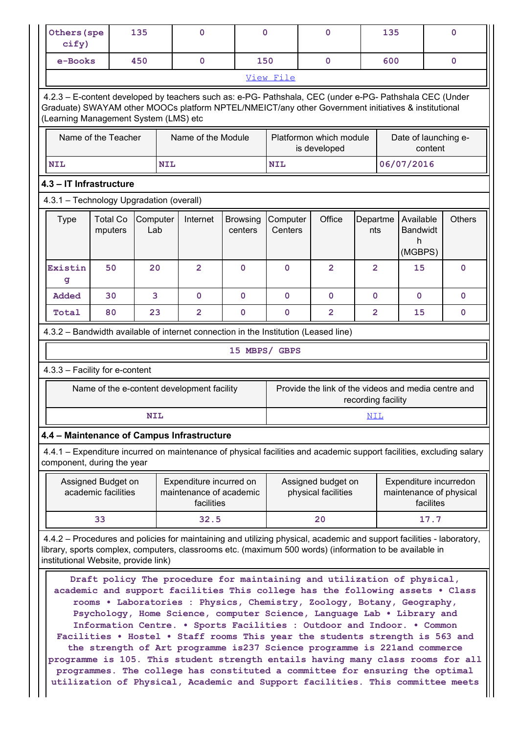| Others (spe<br>cify)<br>e-Books<br>(Learning Management System (LMS) etc |                                           | 135<br>450              | $\mathbf{0}$                                                                                                                                                                                                                                                                                                                                                                                                                                                                                                                                                                                                                                                                                                                                                                                              | $\mathbf{0}$        |                            |                                                     |                    |                         |                           |                        |
|--------------------------------------------------------------------------|-------------------------------------------|-------------------------|-----------------------------------------------------------------------------------------------------------------------------------------------------------------------------------------------------------------------------------------------------------------------------------------------------------------------------------------------------------------------------------------------------------------------------------------------------------------------------------------------------------------------------------------------------------------------------------------------------------------------------------------------------------------------------------------------------------------------------------------------------------------------------------------------------------|---------------------|----------------------------|-----------------------------------------------------|--------------------|-------------------------|---------------------------|------------------------|
|                                                                          |                                           |                         |                                                                                                                                                                                                                                                                                                                                                                                                                                                                                                                                                                                                                                                                                                                                                                                                           |                     |                            | $\mathbf{O}$                                        |                    | 135                     |                           | $\mathbf 0$            |
|                                                                          |                                           |                         | $\mathbf{0}$                                                                                                                                                                                                                                                                                                                                                                                                                                                                                                                                                                                                                                                                                                                                                                                              | 150                 |                            | $\mathbf{0}$                                        |                    | 600                     |                           | $\mathbf{O}$           |
|                                                                          |                                           |                         | 4.2.3 - E-content developed by teachers such as: e-PG- Pathshala, CEC (under e-PG- Pathshala CEC (Under<br>Graduate) SWAYAM other MOOCs platform NPTEL/NMEICT/any other Government initiatives & institutional                                                                                                                                                                                                                                                                                                                                                                                                                                                                                                                                                                                            |                     | View File                  |                                                     |                    |                         |                           |                        |
|                                                                          | Name of the Teacher                       |                         | Name of the Module                                                                                                                                                                                                                                                                                                                                                                                                                                                                                                                                                                                                                                                                                                                                                                                        |                     |                            | Platformon which module<br>is developed             |                    |                         | content                   | Date of launching e-   |
| <b>NIL</b>                                                               |                                           | <b>NIL</b>              |                                                                                                                                                                                                                                                                                                                                                                                                                                                                                                                                                                                                                                                                                                                                                                                                           |                     | <b>NIL</b>                 |                                                     |                    | 06/07/2016              |                           |                        |
| 4.3 – IT Infrastructure                                                  |                                           |                         |                                                                                                                                                                                                                                                                                                                                                                                                                                                                                                                                                                                                                                                                                                                                                                                                           |                     |                            |                                                     |                    |                         |                           |                        |
| 4.3.1 - Technology Upgradation (overall)                                 |                                           |                         |                                                                                                                                                                                                                                                                                                                                                                                                                                                                                                                                                                                                                                                                                                                                                                                                           |                     |                            |                                                     |                    |                         |                           |                        |
| Type                                                                     | mputers                                   | Lab                     | Total Co Computer   Internet                                                                                                                                                                                                                                                                                                                                                                                                                                                                                                                                                                                                                                                                                                                                                                              | Browsing<br>centers | <b>Computer</b><br>Centers | Office                                              | nts                | Departme Available      | Bandwidt<br>h.<br>(MGBPS) | <b>Others</b>          |
| Existin<br>g                                                             | 50                                        | 20                      | 2 <sup>1</sup>                                                                                                                                                                                                                                                                                                                                                                                                                                                                                                                                                                                                                                                                                                                                                                                            | $\mathbf{0}$        | $\mathbf{O}$               | $\overline{2}$                                      | $\overline{2}$     |                         | 15                        | $\mathbf 0$            |
| Added                                                                    | 30                                        | $\overline{\mathbf{3}}$ | $\mathbf{0}$                                                                                                                                                                                                                                                                                                                                                                                                                                                                                                                                                                                                                                                                                                                                                                                              | $\mathbf 0$         | $\mathbf{O}$               | $\mathbf{0}$                                        | $\mathbf{0}$       |                         | $\mathbf{0}$              | $\mathbf 0$            |
| Total                                                                    | 80                                        | 23                      | $\overline{2}$                                                                                                                                                                                                                                                                                                                                                                                                                                                                                                                                                                                                                                                                                                                                                                                            | $\mathbf 0$         | $\mathbf 0$                | $\overline{2}$                                      | $\overline{2}$     |                         | 15                        | $\mathbf 0$            |
|                                                                          |                                           |                         | 4.3.2 - Bandwidth available of internet connection in the Institution (Leased line)                                                                                                                                                                                                                                                                                                                                                                                                                                                                                                                                                                                                                                                                                                                       |                     |                            |                                                     |                    |                         |                           |                        |
|                                                                          |                                           |                         |                                                                                                                                                                                                                                                                                                                                                                                                                                                                                                                                                                                                                                                                                                                                                                                                           | 15 MBPS/ GBPS       |                            |                                                     |                    |                         |                           |                        |
| 4.3.3 - Facility for e-content                                           |                                           |                         | Name of the e-content development facility                                                                                                                                                                                                                                                                                                                                                                                                                                                                                                                                                                                                                                                                                                                                                                |                     |                            | Provide the link of the videos and media centre and | recording facility |                         |                           |                        |
|                                                                          |                                           | <b>NIL</b>              |                                                                                                                                                                                                                                                                                                                                                                                                                                                                                                                                                                                                                                                                                                                                                                                                           |                     |                            |                                                     | <u>NIL</u>         |                         |                           |                        |
| component, during the year                                               |                                           |                         | 4.4 - Maintenance of Campus Infrastructure<br>4.4.1 – Expenditure incurred on maintenance of physical facilities and academic support facilities, excluding salary                                                                                                                                                                                                                                                                                                                                                                                                                                                                                                                                                                                                                                        |                     |                            |                                                     |                    |                         |                           |                        |
|                                                                          | Assigned Budget on<br>academic facilities |                         | Expenditure incurred on<br>maintenance of academic<br>facilities                                                                                                                                                                                                                                                                                                                                                                                                                                                                                                                                                                                                                                                                                                                                          |                     |                            | Assigned budget on<br>physical facilities           |                    | maintenance of physical | facilites                 | Expenditure incurredon |
|                                                                          | 33                                        |                         | 32.5                                                                                                                                                                                                                                                                                                                                                                                                                                                                                                                                                                                                                                                                                                                                                                                                      |                     |                            | 20                                                  |                    |                         | 17.7                      |                        |
| institutional Website, provide link)                                     |                                           |                         | 4.4.2 - Procedures and policies for maintaining and utilizing physical, academic and support facilities - laboratory,<br>library, sports complex, computers, classrooms etc. (maximum 500 words) (information to be available in                                                                                                                                                                                                                                                                                                                                                                                                                                                                                                                                                                          |                     |                            |                                                     |                    |                         |                           |                        |
|                                                                          |                                           |                         | Draft policy The procedure for maintaining and utilization of physical,<br>academic and support facilities This college has the following assets . Class<br>rooms . Laboratories : Physics, Chemistry, Zoology, Botany, Geography,<br>Psychology, Home Science, computer Science, Language Lab . Library and<br>Information Centre. . Sports Facilities : Outdoor and Indoor. . Common<br>Facilities . Hostel . Staff rooms This year the students strength is 563 and<br>the strength of Art programme is 237 Science programme is 221 and commerce<br>programme is 105. This student strength entails having many class rooms for all<br>programmes. The college has constituted a committee for ensuring the optimal<br>utilization of Physical, Academic and Support facilities. This committee meets |                     |                            |                                                     |                    |                         |                           |                        |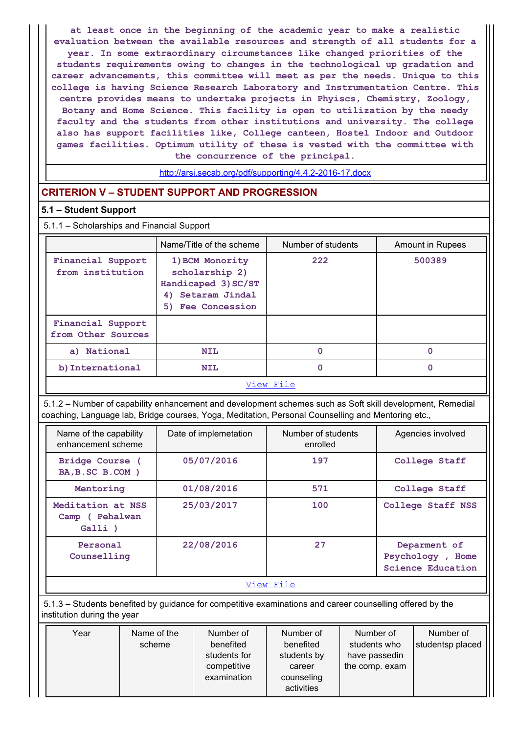at least once in the beginning of the academic year to make a realistic evaluation between the available resources and strength of all students for a year. In some extraordinary circumstances like changed priorities of the students requirements owing to changes in the technological up gradation and career advancements, this committee will meet as per the needs. Unique to this college is having Science Research Laboratory and Instrumentation Centre. This centre provides means to undertake projects in Phyiscs, Chemistry, Zoology, Botany and Home Science. This facility is open to utilization by the needy faculty and the students from other institutions and university. The college also has support facilities like, College canteen, Hostel Indoor and Outdoor games facilities. Optimum utility of these is vested with the committee with the concurrence of the principal.

## CRITERION V – STUDENT SUPPORT AND PROGRESSION

#### 5.1 – Student Support

#### 5.1.1 – Scholarships and Financial Support

|                                                                                                                                                                                                                 | year. In some excraciationary criticals cances like changed priorities of the<br>students requirements owing to changes in the technological up gradation and<br>career advancements, this committee will meet as per the needs. Unique to this<br>college is having Science Research Laboratory and Instrumentation Centre. This<br>centre provides means to undertake projects in Phyiscs, Chemistry, Zoology,<br>Botany and Home Science. This facility is open to utilization by the needy<br>faculty and the students from other institutions and university. The college<br>also has support facilities like, College canteen, Hostel Indoor and Outdoor |                                |                         |
|-----------------------------------------------------------------------------------------------------------------------------------------------------------------------------------------------------------------|----------------------------------------------------------------------------------------------------------------------------------------------------------------------------------------------------------------------------------------------------------------------------------------------------------------------------------------------------------------------------------------------------------------------------------------------------------------------------------------------------------------------------------------------------------------------------------------------------------------------------------------------------------------|--------------------------------|-------------------------|
|                                                                                                                                                                                                                 | games facilities. Optimum utility of these is vested with the committee with<br>the concurrence of the principal.                                                                                                                                                                                                                                                                                                                                                                                                                                                                                                                                              |                                |                         |
|                                                                                                                                                                                                                 | http://arsi.secab.org/pdf/supporting/4.4.2-2016-17.docx                                                                                                                                                                                                                                                                                                                                                                                                                                                                                                                                                                                                        |                                |                         |
| <b>CRITERION V - STUDENT SUPPORT AND PROGRESSION</b>                                                                                                                                                            |                                                                                                                                                                                                                                                                                                                                                                                                                                                                                                                                                                                                                                                                |                                |                         |
| 5.1 - Student Support                                                                                                                                                                                           |                                                                                                                                                                                                                                                                                                                                                                                                                                                                                                                                                                                                                                                                |                                |                         |
| 5.1.1 - Scholarships and Financial Support                                                                                                                                                                      |                                                                                                                                                                                                                                                                                                                                                                                                                                                                                                                                                                                                                                                                |                                |                         |
|                                                                                                                                                                                                                 | Name/Title of the scheme                                                                                                                                                                                                                                                                                                                                                                                                                                                                                                                                                                                                                                       | Number of students             | <b>Amount in Rupees</b> |
| Financial Support<br>from institution                                                                                                                                                                           | 1) BCM Monority<br>scholarship 2)<br>Handicaped 3) SC/ST<br>4) Setaram Jindal<br>5) Fee Concession                                                                                                                                                                                                                                                                                                                                                                                                                                                                                                                                                             | 222                            | 500389                  |
| Financial Support<br>from Other Sources                                                                                                                                                                         |                                                                                                                                                                                                                                                                                                                                                                                                                                                                                                                                                                                                                                                                |                                |                         |
| a) National                                                                                                                                                                                                     | <b>NIL</b>                                                                                                                                                                                                                                                                                                                                                                                                                                                                                                                                                                                                                                                     | $\mathbf 0$                    | $\mathbf 0$             |
| b) International                                                                                                                                                                                                | <b>NIL</b>                                                                                                                                                                                                                                                                                                                                                                                                                                                                                                                                                                                                                                                     | $\mathbf{0}$                   | $\mathbf{0}$            |
|                                                                                                                                                                                                                 |                                                                                                                                                                                                                                                                                                                                                                                                                                                                                                                                                                                                                                                                | View File                      |                         |
| 5.1.2 - Number of capability enhancement and development schemes such as Soft skill development, Remedial<br>coaching, Language lab, Bridge courses, Yoga, Meditation, Personal Counselling and Mentoring etc., |                                                                                                                                                                                                                                                                                                                                                                                                                                                                                                                                                                                                                                                                |                                |                         |
| Name of the capability<br>enhancement scheme                                                                                                                                                                    | Date of implemetation                                                                                                                                                                                                                                                                                                                                                                                                                                                                                                                                                                                                                                          | Number of students<br>enrolled | Agencies involved       |
| Bridge Course (<br>BA, B. SC B. COM )                                                                                                                                                                           | 05/07/2016                                                                                                                                                                                                                                                                                                                                                                                                                                                                                                                                                                                                                                                     | 197                            | College Staff           |
| Mentoring                                                                                                                                                                                                       | 01/08/2016                                                                                                                                                                                                                                                                                                                                                                                                                                                                                                                                                                                                                                                     | 571                            | College Staff           |
| Meditation at NSS<br>Camp ( Pehalwan<br>Galli )                                                                                                                                                                 | 25/03/2017                                                                                                                                                                                                                                                                                                                                                                                                                                                                                                                                                                                                                                                     | 100                            | College Staff NSS       |
|                                                                                                                                                                                                                 |                                                                                                                                                                                                                                                                                                                                                                                                                                                                                                                                                                                                                                                                |                                |                         |

|                                                 |                       | Handicaped 3) SC/ST<br>4) Setaram Jindal<br>5) Fee Concession                                                                                                                                                   |                                                                             |                                                              |                                                                                   |  |
|-------------------------------------------------|-----------------------|-----------------------------------------------------------------------------------------------------------------------------------------------------------------------------------------------------------------|-----------------------------------------------------------------------------|--------------------------------------------------------------|-----------------------------------------------------------------------------------|--|
| Financial Support<br>from Other Sources         |                       |                                                                                                                                                                                                                 |                                                                             |                                                              |                                                                                   |  |
| a) National                                     |                       | <b>NIL</b>                                                                                                                                                                                                      | $\mathbf 0$                                                                 |                                                              | $\mathbf 0$                                                                       |  |
| b) International                                |                       | <b>NIL</b>                                                                                                                                                                                                      | $\mathbf 0$                                                                 |                                                              | $\mathbf 0$                                                                       |  |
|                                                 |                       |                                                                                                                                                                                                                 | View File                                                                   |                                                              |                                                                                   |  |
|                                                 |                       | 5.1.2 - Number of capability enhancement and development schemes such as Soft skill development, Remedial<br>coaching, Language lab, Bridge courses, Yoga, Meditation, Personal Counselling and Mentoring etc., |                                                                             |                                                              |                                                                                   |  |
| Name of the capability<br>enhancement scheme    |                       | Date of implemetation                                                                                                                                                                                           | Number of students<br>enrolled                                              |                                                              | Agencies involved                                                                 |  |
| Bridge Course (<br>BA, B. SC B. COM )           |                       | 05/07/2016                                                                                                                                                                                                      | 197                                                                         |                                                              | College Staff                                                                     |  |
| Mentoring                                       |                       | 01/08/2016                                                                                                                                                                                                      | 571                                                                         |                                                              | College Staff                                                                     |  |
| Meditation at NSS<br>Camp ( Pehalwan<br>Galli ) |                       | 25/03/2017                                                                                                                                                                                                      | 100                                                                         |                                                              | College Staff NSS<br>Deparment of<br>Psychology, Home<br><b>Science Education</b> |  |
| Personal<br>Counselling                         |                       | 22/08/2016                                                                                                                                                                                                      | 27                                                                          |                                                              |                                                                                   |  |
|                                                 |                       |                                                                                                                                                                                                                 | View File                                                                   |                                                              |                                                                                   |  |
| institution during the year                     |                       | 5.1.3 - Students benefited by guidance for competitive examinations and career counselling offered by the                                                                                                       |                                                                             |                                                              |                                                                                   |  |
| Year                                            | Name of the<br>scheme | Number of<br>benefited<br>students for<br>competitive<br>examination                                                                                                                                            | Number of<br>benefited<br>students by<br>career<br>counseling<br>activities | Number of<br>students who<br>have passedin<br>the comp. exam | Number of<br>studentsp placed                                                     |  |

| Number of<br>Year<br>Name of the<br>Number of<br>Number of<br>Number of<br>benefited<br>benefited<br>students who<br>studentsp placed<br>scheme<br>students for<br>students by<br>have passedin<br>competitive<br>the comp. exam<br>career<br>examination<br>counseling<br>activities |
|---------------------------------------------------------------------------------------------------------------------------------------------------------------------------------------------------------------------------------------------------------------------------------------|
|---------------------------------------------------------------------------------------------------------------------------------------------------------------------------------------------------------------------------------------------------------------------------------------|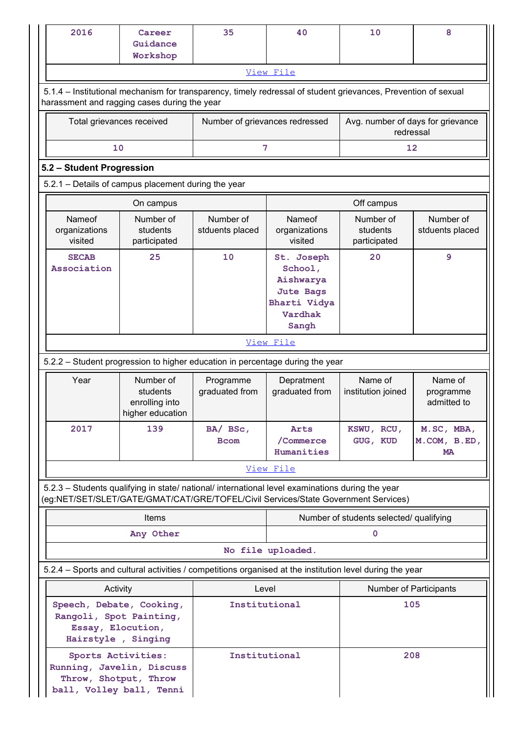| 2016                                                                                                                                        | Career<br>Guidance<br>Workshop                                                                                                                                                         | 35                                      | 40                                                                                | 10                                    | 8                                              |  |  |
|---------------------------------------------------------------------------------------------------------------------------------------------|----------------------------------------------------------------------------------------------------------------------------------------------------------------------------------------|-----------------------------------------|-----------------------------------------------------------------------------------|---------------------------------------|------------------------------------------------|--|--|
|                                                                                                                                             |                                                                                                                                                                                        |                                         | View File                                                                         |                                       |                                                |  |  |
|                                                                                                                                             | 5.1.4 - Institutional mechanism for transparency, timely redressal of student grievances, Prevention of sexual<br>harassment and ragging cases during the year                         |                                         |                                                                                   |                                       |                                                |  |  |
|                                                                                                                                             | Total grievances received                                                                                                                                                              |                                         | Number of grievances redressed                                                    |                                       | Avg. number of days for grievance<br>redressal |  |  |
|                                                                                                                                             | 10                                                                                                                                                                                     | 7                                       |                                                                                   | 12                                    |                                                |  |  |
| 5.2 - Student Progression                                                                                                                   |                                                                                                                                                                                        |                                         |                                                                                   |                                       |                                                |  |  |
|                                                                                                                                             | 5.2.1 - Details of campus placement during the year                                                                                                                                    |                                         |                                                                                   |                                       |                                                |  |  |
|                                                                                                                                             | On campus                                                                                                                                                                              |                                         |                                                                                   | Off campus                            |                                                |  |  |
| Nameof<br>organizations<br>visited                                                                                                          | Number of<br>students<br>participated                                                                                                                                                  | Number of<br>stduents placed            | Nameof<br>organizations<br>visited                                                | Number of<br>students<br>participated | Number of<br>stduents placed                   |  |  |
| <b>SECAB</b><br>Association                                                                                                                 | 25                                                                                                                                                                                     | 10                                      | St. Joseph<br>School,<br>Aishwarya<br><b>Jute Bags</b><br>Bharti Vidya<br>Vardhak | 20                                    | 9                                              |  |  |
|                                                                                                                                             |                                                                                                                                                                                        |                                         | Sangh<br>View File                                                                |                                       |                                                |  |  |
|                                                                                                                                             | 5.2.2 - Student progression to higher education in percentage during the year                                                                                                          |                                         |                                                                                   |                                       |                                                |  |  |
| Year                                                                                                                                        | Number of                                                                                                                                                                              | Programme                               | Depratment                                                                        | Name of                               | Name of                                        |  |  |
|                                                                                                                                             | students<br>enrolling into<br>higher education                                                                                                                                         | graduated from                          | graduated from                                                                    | institution joined                    | programme<br>admitted to                       |  |  |
| 2017                                                                                                                                        | 139                                                                                                                                                                                    | BA/ BSc,<br><b>Bcom</b>                 | Arts<br>/Commerce<br>Humanities                                                   | KSWU, RCU,<br>GUG, KUD                | M.SC, MBA,<br>M.COM, B.ED,<br><b>MA</b>        |  |  |
|                                                                                                                                             |                                                                                                                                                                                        |                                         | View File                                                                         |                                       |                                                |  |  |
|                                                                                                                                             | 5.2.3 - Students qualifying in state/ national/ international level examinations during the year<br>(eg:NET/SET/SLET/GATE/GMAT/CAT/GRE/TOFEL/Civil Services/State Government Services) |                                         |                                                                                   |                                       |                                                |  |  |
|                                                                                                                                             | Items                                                                                                                                                                                  | Number of students selected/ qualifying |                                                                                   |                                       |                                                |  |  |
|                                                                                                                                             | Any Other                                                                                                                                                                              |                                         | $\mathbf 0$                                                                       |                                       |                                                |  |  |
|                                                                                                                                             |                                                                                                                                                                                        |                                         | No file uploaded.                                                                 |                                       |                                                |  |  |
|                                                                                                                                             | 5.2.4 - Sports and cultural activities / competitions organised at the institution level during the year                                                                               |                                         |                                                                                   |                                       |                                                |  |  |
|                                                                                                                                             | Activity                                                                                                                                                                               | Level                                   |                                                                                   | Number of Participants                |                                                |  |  |
|                                                                                                                                             | Speech, Debate, Cooking,<br>Rangoli, Spot Painting,<br>Essay, Elocution,                                                                                                               | Institutional                           |                                                                                   | 105                                   |                                                |  |  |
| Hairstyle, Singing<br>Sports Activities:<br>Institutional<br>Running, Javelin, Discuss<br>Throw, Shotput, Throw<br>ball, Volley ball, Tenni |                                                                                                                                                                                        |                                         |                                                                                   | 208                                   |                                                |  |  |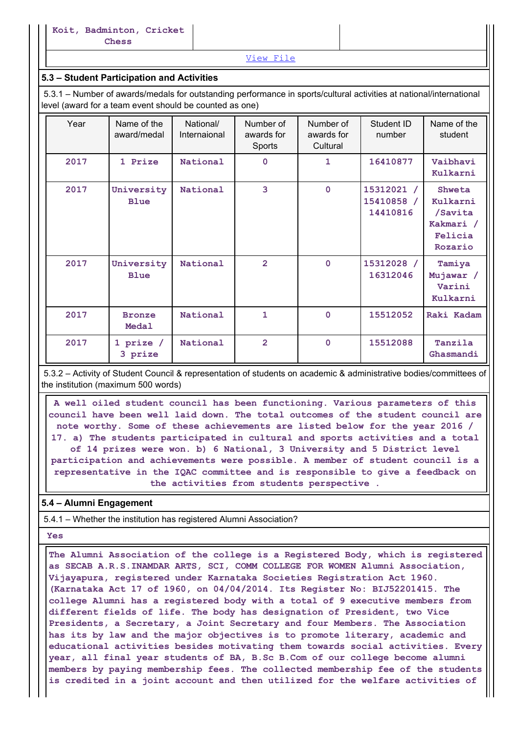# 5.3 – Student Participation and Activities

|      | Koit, Badminton, Cricket<br>Chess                                                                                                                                                                                            |                           |                                   |                                     |                                      |                                                                  |
|------|------------------------------------------------------------------------------------------------------------------------------------------------------------------------------------------------------------------------------|---------------------------|-----------------------------------|-------------------------------------|--------------------------------------|------------------------------------------------------------------|
|      |                                                                                                                                                                                                                              |                           | View File                         |                                     |                                      |                                                                  |
|      | 5.3 - Student Participation and Activities<br>5.3.1 - Number of awards/medals for outstanding performance in sports/cultural activities at national/international<br>level (award for a team event should be counted as one) |                           |                                   |                                     |                                      |                                                                  |
| Year | Name of the<br>award/medal                                                                                                                                                                                                   | National/<br>Internaional | Number of<br>awards for<br>Sports | Number of<br>awards for<br>Cultural | Student ID<br>number                 | Name of the<br>student                                           |
| 2017 | 1 Prize                                                                                                                                                                                                                      | National                  | $\mathbf 0$                       | $\mathbf{1}$                        | 16410877                             | Vaibhavi<br>Kulkarni                                             |
| 2017 | University<br><b>Blue</b>                                                                                                                                                                                                    | National                  | 3                                 | $\mathbf 0$                         | 15312021 /<br>15410858 /<br>14410816 | Shweta<br>Kulkarni<br>/Savita<br>Kakmari /<br>Felicia<br>Rozario |
| 2017 | University<br><b>Blue</b>                                                                                                                                                                                                    | National                  | $\overline{2}$                    | $\mathbf 0$                         | 15312028 /<br>16312046               | Tamiya<br>Mujawar /<br>Varini                                    |
|      |                                                                                                                                                                                                                              |                           |                                   |                                     |                                      | Kulkarni                                                         |
| 2017 | <b>Bronze</b><br>Medal                                                                                                                                                                                                       | National                  | $\mathbf{1}$                      | $\mathbf 0$                         | 15512052                             | Raki Kadam                                                       |

 A well oiled student council has been functioning. Various parameters of this council have been well laid down. The total outcomes of the student council are note worthy. Some of these achievements are listed below for the year 2016 / 17. a) The students participated in cultural and sports activities and a total of 14 prizes were won. b) 6 National, 3 University and 5 District level participation and achievements were possible. A member of student council is a representative in the IQAC committee and is responsible to give a feedback on the activities from students perspective .

# 5.4 – Alumni Engagement

5.4.1 – Whether the institution has registered Alumni Association?

Yes

 The Alumni Association of the college is a Registered Body, which is registered as SECAB A.R.S.INAMDAR ARTS, SCI, COMM COLLEGE FOR WOMEN Alumni Association, Vijayapura, registered under Karnataka Societies Registration Act 1960. (Karnataka Act 17 of 1960, on 04/04/2014. Its Register No: BIJ52201415. The college Alumni has a registered body with a total of 9 executive members from different fields of life. The body has designation of President, two Vice Presidents, a Secretary, a Joint Secretary and four Members. The Association has its by law and the major objectives is to promote literary, academic and educational activities besides motivating them towards social activities. Every year, all final year students of BA, B.Sc B.Com of our college become alumni members by paying membership fees. The collected membership fee of the students is credited in a joint account and then utilized for the welfare activities of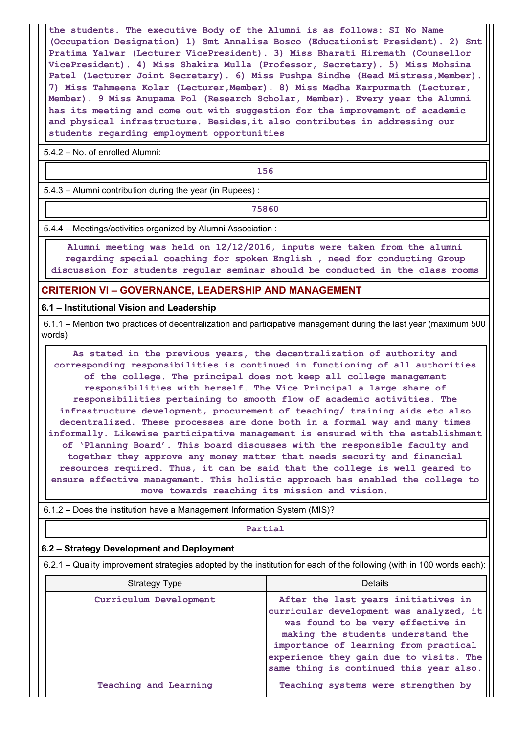the students. The executive Body of the Alumni is as follows: SI No Name (Occupation Designation) 1) Smt Annalisa Bosco (Educationist President). 2) Smt Pratima Yalwar (Lecturer VicePresident). 3) Miss Bharati Hiremath (Counsellor VicePresident). 4) Miss Shakira Mulla (Professor, Secretary). 5) Miss Mohsina Patel (Lecturer Joint Secretary). 6) Miss Pushpa Sindhe (Head Mistress, Member). 7) Miss Tahmeena Kolar (Lecturer,Member). 8) Miss Medha Karpurmath (Lecturer, Member). 9 Miss Anupama Pol (Research Scholar, Member). Every year the Alumni has its meeting and come out with suggestion for the improvement of academic and physical infrastructure. Besides,it also contributes in addressing our students regarding employment opportunities

5.4.2 – No. of enrolled Alumni:

156

5.4.3 – Alumni contribution during the year (in Rupees) :

75860

5.4.4 – Meetings/activities organized by Alumni Association :

 Alumni meeting was held on 12/12/2016, inputs were taken from the alumni regarding special coaching for spoken English , need for conducting Group discussion for students regular seminar should be conducted in the class rooms

#### CRITERION VI – GOVERNANCE, LEADERSHIP AND MANAGEMENT

#### 6.1 – Institutional Vision and Leadership

 6.1.1 – Mention two practices of decentralization and participative management during the last year (maximum 500 words)

 As stated in the previous years, the decentralization of authority and corresponding responsibilities is continued in functioning of all authorities of the college. The principal does not keep all college management responsibilities with herself. The Vice Principal a large share of responsibilities pertaining to smooth flow of academic activities. The infrastructure development, procurement of teaching/ training aids etc also decentralized. These processes are done both in a formal way and many times informally. Likewise participative management is ensured with the establishment of 'Planning Board'. This board discusses with the responsible faculty and together they approve any money matter that needs security and financial resources required. Thus, it can be said that the college is well geared to ensure effective management. This holistic approach has enabled the college to move towards reaching its mission and vision.

# **Partial**

#### 6.2 – Strategy Development and Deployment

|                                                                          | responsibilities pertaining to smooth flow of academic activities. The<br>infrastructure development, procurement of teaching/ training aids etc also<br>decentralized. These processes are done both in a formal way and many times<br>informally. Likewise participative management is ensured with the establishment<br>of 'Planning Board'. This board discusses with the responsible faculty and<br>together they approve any money matter that needs security and financial<br>resources required. Thus, it can be said that the college is well geared to<br>ensure effective management. This holistic approach has enabled the college to<br>move towards reaching its mission and vision. |  |  |  |  |
|--------------------------------------------------------------------------|-----------------------------------------------------------------------------------------------------------------------------------------------------------------------------------------------------------------------------------------------------------------------------------------------------------------------------------------------------------------------------------------------------------------------------------------------------------------------------------------------------------------------------------------------------------------------------------------------------------------------------------------------------------------------------------------------------|--|--|--|--|
| 6.1.2 – Does the institution have a Management Information System (MIS)? |                                                                                                                                                                                                                                                                                                                                                                                                                                                                                                                                                                                                                                                                                                     |  |  |  |  |
| Partial                                                                  |                                                                                                                                                                                                                                                                                                                                                                                                                                                                                                                                                                                                                                                                                                     |  |  |  |  |
| 6.2 - Strategy Development and Deployment                                |                                                                                                                                                                                                                                                                                                                                                                                                                                                                                                                                                                                                                                                                                                     |  |  |  |  |
|                                                                          | 6.2.1 – Quality improvement strategies adopted by the institution for each of the following (with in 100 words each):                                                                                                                                                                                                                                                                                                                                                                                                                                                                                                                                                                               |  |  |  |  |
| <b>Strategy Type</b>                                                     | <b>Details</b>                                                                                                                                                                                                                                                                                                                                                                                                                                                                                                                                                                                                                                                                                      |  |  |  |  |
| Curriculum Development                                                   | After the last years initiatives in<br>curricular development was analyzed, it<br>was found to be very effective in<br>making the students understand the<br>importance of learning from practical<br>experience they gain due to visits. The<br>same thing is continued this year also.                                                                                                                                                                                                                                                                                                                                                                                                            |  |  |  |  |
| <b>Teaching and Learning</b>                                             | Teaching systems were strengthen by                                                                                                                                                                                                                                                                                                                                                                                                                                                                                                                                                                                                                                                                 |  |  |  |  |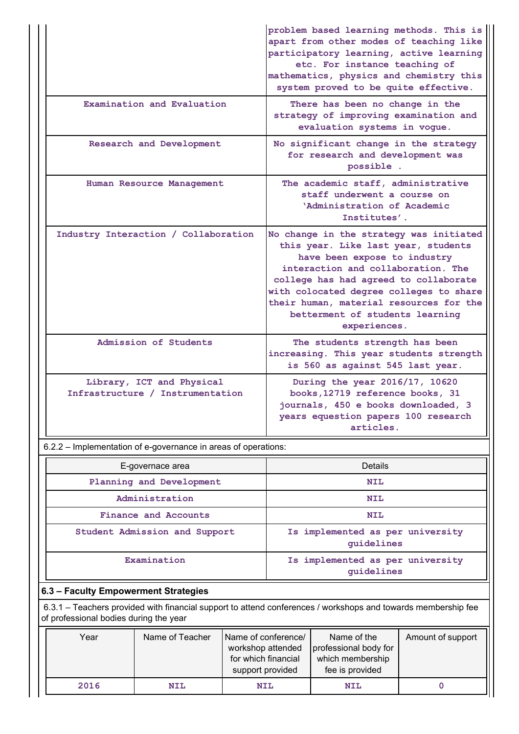|                                                                | problem based learning methods. This is<br>apart from other modes of teaching like<br>participatory learning, active learning<br>etc. For instance teaching of<br>mathematics, physics and chemistry this<br>system proved to be quite effective.                                                                                         |
|----------------------------------------------------------------|-------------------------------------------------------------------------------------------------------------------------------------------------------------------------------------------------------------------------------------------------------------------------------------------------------------------------------------------|
| Examination and Evaluation                                     | There has been no change in the<br>strategy of improving examination and<br>evaluation systems in vogue.                                                                                                                                                                                                                                  |
| Research and Development                                       | No significant change in the strategy<br>for research and development was<br>possible.                                                                                                                                                                                                                                                    |
| Human Resource Management                                      | The academic staff, administrative<br>staff underwent a course on<br>'Administration of Academic<br>Institutes'.                                                                                                                                                                                                                          |
| Industry Interaction / Collaboration                           | No change in the strategy was initiated<br>this year. Like last year, students<br>have been expose to industry<br>interaction and collaboration. The<br>college has had agreed to collaborate<br>with colocated degree colleges to share   <br>their human, material resources for the<br>betterment of students learning<br>experiences. |
| Admission of Students                                          | The students strength has been<br>increasing. This year students strength<br>is 560 as against 545 last year.                                                                                                                                                                                                                             |
| Library, ICT and Physical<br>Infrastructure / Instrumentation  | During the year 2016/17, 10620<br>books, 12719 reference books, 31<br>journals, 450 e books downloaded, 3<br>years equestion papers 100 research<br>articles.                                                                                                                                                                             |
| 6.2.2 - Implementation of e-governance in areas of operations: |                                                                                                                                                                                                                                                                                                                                           |
| E-governace area                                               | <b>Details</b>                                                                                                                                                                                                                                                                                                                            |
| Planning and Development                                       | <b>NIL</b>                                                                                                                                                                                                                                                                                                                                |
| Administration                                                 | <b>NIL</b>                                                                                                                                                                                                                                                                                                                                |
| <b>Finance and Accounts</b>                                    | <b>NIL</b>                                                                                                                                                                                                                                                                                                                                |
| Student Admission and Support                                  | Is implemented as per university<br>guidelines                                                                                                                                                                                                                                                                                            |
| Examination                                                    | Is implemented as per university<br>guidelines                                                                                                                                                                                                                                                                                            |

|                  |                                        |                                                                                                               |                                                                                     |                                                                                                                                                               | experiences.                                                                                                  |                   |  |  |
|------------------|----------------------------------------|---------------------------------------------------------------------------------------------------------------|-------------------------------------------------------------------------------------|---------------------------------------------------------------------------------------------------------------------------------------------------------------|---------------------------------------------------------------------------------------------------------------|-------------------|--|--|
|                  |                                        | Admission of Students                                                                                         |                                                                                     |                                                                                                                                                               | The students strength has been<br>increasing. This year students strength<br>is 560 as against 545 last year. |                   |  |  |
|                  |                                        | Library, ICT and Physical<br>Infrastructure / Instrumentation                                                 |                                                                                     | During the year 2016/17, 10620<br>books, 12719 reference books, 31<br>journals, 450 e books downloaded, 3<br>years equestion papers 100 research<br>articles. |                                                                                                               |                   |  |  |
|                  |                                        | 6.2.2 - Implementation of e-governance in areas of operations:                                                |                                                                                     |                                                                                                                                                               |                                                                                                               |                   |  |  |
| E-governace area |                                        |                                                                                                               |                                                                                     |                                                                                                                                                               | <b>Details</b>                                                                                                |                   |  |  |
|                  |                                        | Planning and Development                                                                                      |                                                                                     | <b>NIL</b>                                                                                                                                                    |                                                                                                               |                   |  |  |
|                  |                                        | Administration                                                                                                |                                                                                     | <b>NIL</b><br><b>NIL</b><br>Is implemented as per university<br>guidelines                                                                                    |                                                                                                               |                   |  |  |
|                  |                                        | <b>Finance and Accounts</b>                                                                                   |                                                                                     |                                                                                                                                                               |                                                                                                               |                   |  |  |
|                  |                                        | Student Admission and Support                                                                                 |                                                                                     |                                                                                                                                                               |                                                                                                               |                   |  |  |
|                  |                                        | Examination                                                                                                   |                                                                                     | Is implemented as per university<br>guidelines                                                                                                                |                                                                                                               |                   |  |  |
|                  | 6.3 - Faculty Empowerment Strategies   |                                                                                                               |                                                                                     |                                                                                                                                                               |                                                                                                               |                   |  |  |
|                  | of professional bodies during the year | 6.3.1 - Teachers provided with financial support to attend conferences / workshops and towards membership fee |                                                                                     |                                                                                                                                                               |                                                                                                               |                   |  |  |
|                  | Year                                   | Name of Teacher                                                                                               | Name of conference/<br>workshop attended<br>for which financial<br>support provided |                                                                                                                                                               | Name of the<br>professional body for<br>which membership<br>fee is provided                                   | Amount of support |  |  |
|                  | 2016                                   | <b>NIL</b>                                                                                                    | NIL                                                                                 |                                                                                                                                                               | <b>NIL</b>                                                                                                    | $\mathbf 0$       |  |  |

# 6.3 – Faculty Empowerment Strategies

| Year | Name of Teacher | Name of conference/<br>workshop attended<br>for which financial<br>support provided | Name of the<br>professional body for<br>which membership<br>fee is provided | Amount of support |  |
|------|-----------------|-------------------------------------------------------------------------------------|-----------------------------------------------------------------------------|-------------------|--|
| 2016 | NIL             | <b>NIL</b>                                                                          | <b>NIL</b>                                                                  |                   |  |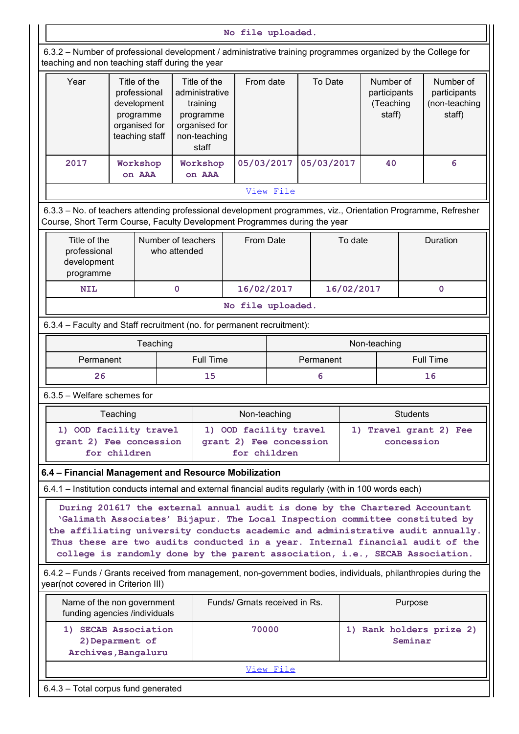|                                                                                                                                                                                            |                                                                                             |                                    |                                                                                                   | No file uploaded.                                                 |           |            |            |                                                  |            |                                                      |
|--------------------------------------------------------------------------------------------------------------------------------------------------------------------------------------------|---------------------------------------------------------------------------------------------|------------------------------------|---------------------------------------------------------------------------------------------------|-------------------------------------------------------------------|-----------|------------|------------|--------------------------------------------------|------------|------------------------------------------------------|
| 6.3.2 - Number of professional development / administrative training programmes organized by the College for<br>teaching and non teaching staff during the year                            |                                                                                             |                                    |                                                                                                   |                                                                   |           |            |            |                                                  |            |                                                      |
| Year                                                                                                                                                                                       | Title of the<br>professional<br>development<br>programme<br>organised for<br>teaching staff |                                    | Title of the<br>administrative<br>training<br>programme<br>organised for<br>non-teaching<br>staff | From date                                                         |           | To Date    |            | Number of<br>participants<br>(Teaching<br>staff) |            | Number of<br>participants<br>(non-teaching<br>staff) |
| 2017                                                                                                                                                                                       | Workshop<br>on AAA                                                                          |                                    | Workshop<br>on AAA                                                                                | 05/03/2017                                                        |           | 05/03/2017 |            | 40                                               |            | 6                                                    |
|                                                                                                                                                                                            |                                                                                             |                                    |                                                                                                   |                                                                   | View File |            |            |                                                  |            |                                                      |
| 6.3.3 - No. of teachers attending professional development programmes, viz., Orientation Programme, Refresher<br>Course, Short Term Course, Faculty Development Programmes during the year |                                                                                             |                                    |                                                                                                   |                                                                   |           |            |            |                                                  |            |                                                      |
| Title of the<br>professional<br>development<br>programme                                                                                                                                   |                                                                                             | Number of teachers<br>who attended |                                                                                                   | From Date                                                         |           |            | To date    |                                                  |            | Duration                                             |
| <b>NIL</b>                                                                                                                                                                                 |                                                                                             | $\mathbf 0$                        |                                                                                                   | 16/02/2017                                                        |           |            | 16/02/2017 |                                                  |            | $\mathbf 0$                                          |
|                                                                                                                                                                                            |                                                                                             |                                    |                                                                                                   | No file uploaded.                                                 |           |            |            |                                                  |            |                                                      |
| 6.3.4 - Faculty and Staff recruitment (no. for permanent recruitment):                                                                                                                     |                                                                                             |                                    |                                                                                                   |                                                                   |           |            |            |                                                  |            |                                                      |
|                                                                                                                                                                                            |                                                                                             | Teaching                           |                                                                                                   |                                                                   |           |            |            | Non-teaching                                     |            |                                                      |
| Permanent                                                                                                                                                                                  |                                                                                             |                                    | <b>Full Time</b>                                                                                  |                                                                   | Permanent |            |            |                                                  |            | Full Time                                            |
| 26                                                                                                                                                                                         |                                                                                             |                                    | 15                                                                                                |                                                                   |           | 6          |            |                                                  |            | 16                                                   |
| 6.3.5 - Welfare schemes for                                                                                                                                                                |                                                                                             |                                    |                                                                                                   |                                                                   |           |            |            |                                                  |            |                                                      |
|                                                                                                                                                                                            | Teaching                                                                                    |                                    |                                                                                                   | Non-teaching                                                      |           |            |            |                                                  | Students   |                                                      |
| 1) OOD facility travel<br>grant 2) Fee concession                                                                                                                                          | for children                                                                                |                                    |                                                                                                   | 1) OOD facility travel<br>grant 2) Fee concession<br>for children |           |            |            |                                                  | concession | 1) Travel grant 2) Fee                               |

| <b>PIULOUUIUI</b><br>development<br>programme | www.auchiga |                   |            |  |
|-----------------------------------------------|-------------|-------------------|------------|--|
| <b>NIL</b>                                    |             | 16/02/2017        | 16/02/2017 |  |
|                                               |             | No file uploaded. |            |  |

#### 6.3.4 – Faculty and Staff recruitment (no. for permanent recruitment):

| Teaching  |           | Non-teaching |           |  |
|-----------|-----------|--------------|-----------|--|
| Permanent | Full Time | Permanent    | Full Time |  |
| ∠о        | 15        |              | ᅩ.О       |  |

| Teaching                                          | Non-teaching                                      | <b>Students</b>                      |  |  |
|---------------------------------------------------|---------------------------------------------------|--------------------------------------|--|--|
| 1) OOD facility travel<br>grant 2) Fee concession | 1) OOD facility travel<br>grant 2) Fee concession | 1) Travel grant 2) Fee<br>concession |  |  |
| for children                                      | for children                                      |                                      |  |  |

#### 6.4 – Financial Management and Resource Mobilization

| 1) OOD facility travel<br>grant 2) Fee concession<br>for children                                                                                    | 1) OOD facility travel<br>grant 2) Fee concession<br>for children                                                                                                                                                                                                                                                                                                                                                | 1) Travel grant 2) Fee<br>concession |
|------------------------------------------------------------------------------------------------------------------------------------------------------|------------------------------------------------------------------------------------------------------------------------------------------------------------------------------------------------------------------------------------------------------------------------------------------------------------------------------------------------------------------------------------------------------------------|--------------------------------------|
| 6.4 - Financial Management and Resource Mobilization                                                                                                 |                                                                                                                                                                                                                                                                                                                                                                                                                  |                                      |
| 6.4.1 - Institution conducts internal and external financial audits regularly (with in 100 words each)                                               |                                                                                                                                                                                                                                                                                                                                                                                                                  |                                      |
|                                                                                                                                                      | During 201617 the external annual audit is done by the Chartered Accountant<br>'Galimath Associates' Bijapur. The Local Inspection committee constituted by<br>the affiliating university conducts academic and administrative audit annually.<br>Thus these are two audits conducted in a year. Internal financial audit of the<br>college is randomly done by the parent association, i.e., SECAB Association. |                                      |
| 6.4.2 – Funds / Grants received from management, non-government bodies, individuals, philanthropies during the<br>year(not covered in Criterion III) |                                                                                                                                                                                                                                                                                                                                                                                                                  |                                      |
| Name of the non government<br>funding agencies /individuals                                                                                          | Funds/ Grnats received in Rs.                                                                                                                                                                                                                                                                                                                                                                                    | Purpose                              |
| 1) SECAB Association<br>2) Deparment of<br>Archives, Bangaluru                                                                                       | 70000                                                                                                                                                                                                                                                                                                                                                                                                            | 1) Rank holders prize 2)<br>Seminar  |
|                                                                                                                                                      | View File                                                                                                                                                                                                                                                                                                                                                                                                        |                                      |
| 6.4.3 - Total corpus fund generated                                                                                                                  |                                                                                                                                                                                                                                                                                                                                                                                                                  |                                      |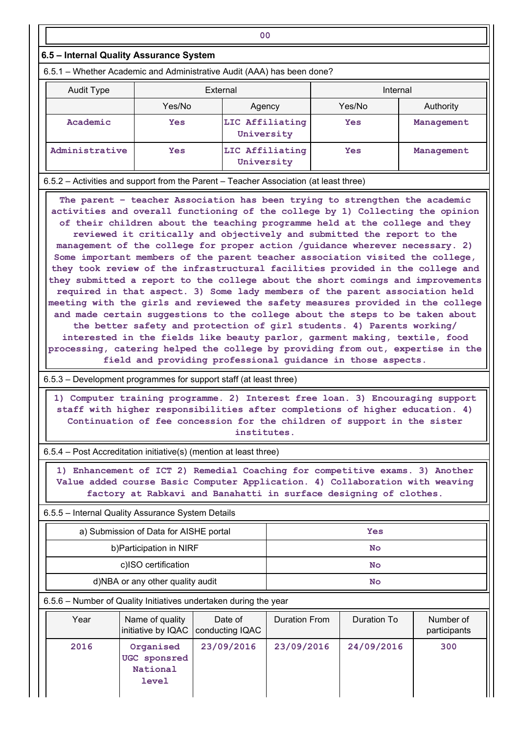#### 6.5 – Internal Quality Assurance System

|                                         |            | 00                                                                                                                                                                                                                                           |            |            |  |
|-----------------------------------------|------------|----------------------------------------------------------------------------------------------------------------------------------------------------------------------------------------------------------------------------------------------|------------|------------|--|
| 6.5 - Internal Quality Assurance System |            |                                                                                                                                                                                                                                              |            |            |  |
|                                         |            | 6.5.1 – Whether Academic and Administrative Audit (AAA) has been done?                                                                                                                                                                       |            |            |  |
| Audit Type                              | External   |                                                                                                                                                                                                                                              | Internal   |            |  |
|                                         | Yes/No     | Agency                                                                                                                                                                                                                                       | Yes/No     | Authority  |  |
| Academic                                | <b>Yes</b> | LIC Affiliating<br>University                                                                                                                                                                                                                | <b>Yes</b> | Management |  |
| Administrative                          | <b>Yes</b> | LIC Affiliating<br>University                                                                                                                                                                                                                | <b>Yes</b> | Management |  |
|                                         |            | 6.5.2 - Activities and support from the Parent - Teacher Association (at least three)                                                                                                                                                        |            |            |  |
|                                         |            | The parent - teacher Association has been trying to strengthen the academic<br>activities and overall functioning of the college by 1) Collecting the opinion<br>of their children about the teaching programme held at the college and they |            |            |  |

 The parent – teacher Association has been trying to strengthen the academic activities and overall functioning of the college by 1) Collecting the opinion of their children about the teaching programme held at the college and they reviewed it critically and objectively and submitted the report to the management of the college for proper action /guidance wherever necessary. 2) Some important members of the parent teacher association visited the college, they took review of the infrastructural facilities provided in the college and they submitted a report to the college about the short comings and improvements required in that aspect. 3) Some lady members of the parent association held meeting with the girls and reviewed the safety measures provided in the college and made certain suggestions to the college about the steps to be taken about the better safety and protection of girl students. 4) Parents working/ interested in the fields like beauty parlor, garment making, textile, food processing, catering helped the college by providing from out, expertise in the field and providing professional guidance in those aspects.

6.5.3 – Development programmes for support staff (at least three)

|                                                   |                                        | 1) Computer training programme. 2) Interest free loan. 3) Encouraging support<br>staff with higher responsibilities after completions of higher education. 4)<br>Continuation of fee concession for the children of support in the sister<br>institutes. |               |             |                           |
|---------------------------------------------------|----------------------------------------|----------------------------------------------------------------------------------------------------------------------------------------------------------------------------------------------------------------------------------------------------------|---------------|-------------|---------------------------|
|                                                   |                                        | 6.5.4 – Post Accreditation initiative(s) (mention at least three)                                                                                                                                                                                        |               |             |                           |
|                                                   |                                        | 1) Enhancement of ICT 2) Remedial Coaching for competitive exams. 3) Another<br>Value added course Basic Computer Application. 4) Collaboration with weaving<br>factory at Rabkavi and Banahatti in surface designing of clothes.                        |               |             |                           |
| 6.5.5 - Internal Quality Assurance System Details |                                        |                                                                                                                                                                                                                                                          |               |             |                           |
|                                                   | a) Submission of Data for AISHE portal |                                                                                                                                                                                                                                                          |               | <b>Yes</b>  |                           |
|                                                   | b) Participation in NIRF               |                                                                                                                                                                                                                                                          |               | <b>No</b>   |                           |
|                                                   | c)ISO certification                    |                                                                                                                                                                                                                                                          |               | <b>No</b>   |                           |
|                                                   | d)NBA or any other quality audit       |                                                                                                                                                                                                                                                          |               | <b>No</b>   |                           |
|                                                   |                                        | 6.5.6 - Number of Quality Initiatives undertaken during the year                                                                                                                                                                                         |               |             |                           |
| Year                                              | Name of quality                        | Date of<br>initiative by IQAC   conducting IQAC                                                                                                                                                                                                          | Duration From | Duration To | Number of<br>participants |
| 2016                                              | Organised<br>UGC sponsred<br>National  | 23/09/2016                                                                                                                                                                                                                                               | 23/09/2016    | 24/09/2016  | 300                       |

| 1) Computer training programme. 2) Interest free loan. 3) Encouraging support<br>staff with higher responsibilities after completions of higher education. 4)<br>Continuation of fee concession for the children of support in the sister<br>institutes. |                           |  |  |
|----------------------------------------------------------------------------------------------------------------------------------------------------------------------------------------------------------------------------------------------------------|---------------------------|--|--|
| 6.5.4 - Post Accreditation initiative(s) (mention at least three)                                                                                                                                                                                        |                           |  |  |
| 1) Enhancement of ICT 2) Remedial Coaching for competitive exams. 3) Another<br>Value added course Basic Computer Application. 4) Collaboration with weaving<br>factory at Rabkavi and Banahatti in surface designing of clothes.                        |                           |  |  |
| 6.5.5 - Internal Quality Assurance System Details                                                                                                                                                                                                        |                           |  |  |
| a) Submission of Data for AISHE portal<br>Yes                                                                                                                                                                                                            |                           |  |  |
| b) Participation in NIRF<br><b>No</b>                                                                                                                                                                                                                    |                           |  |  |
| c)ISO certification<br><b>No</b>                                                                                                                                                                                                                         |                           |  |  |
| d)NBA or any other quality audit<br><b>No</b>                                                                                                                                                                                                            |                           |  |  |
| 6.5.6 – Number of Quality Initiatives undertaken during the year                                                                                                                                                                                         |                           |  |  |
| Year<br>Name of quality<br>Date of<br>Duration From<br>Duration To<br>initiative by IQAC<br>conducting IQAC                                                                                                                                              | Number of<br>participants |  |  |
| 23/09/2016<br>2016<br>Organised<br>23/09/2016<br>24/09/2016<br><b>UGC</b> sponsred<br>National<br><b>level</b>                                                                                                                                           | 300                       |  |  |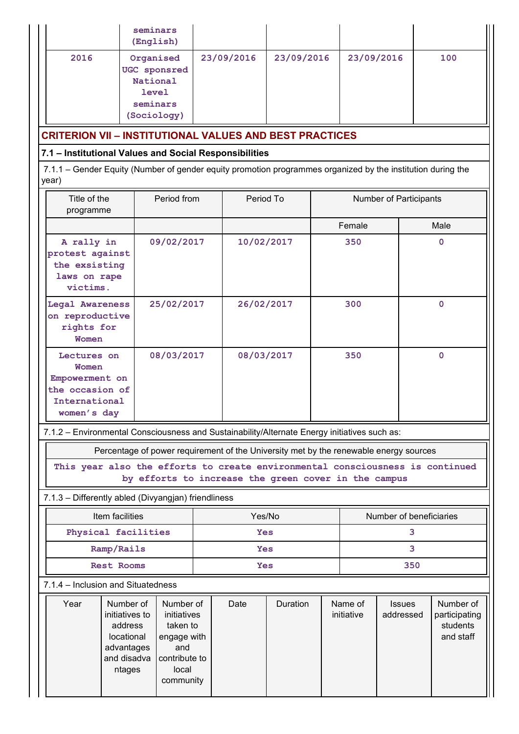| 2016                                                                                      | seminars<br>(English)<br>Organised<br>UGC sponsred<br>National<br><b>level</b><br>seminars<br>(Sociology) |                                                                                      | 23/09/2016                                                                                                                            | 23/09/2016 |                       | 23/09/2016                 | 100                                                 |
|-------------------------------------------------------------------------------------------|-----------------------------------------------------------------------------------------------------------|--------------------------------------------------------------------------------------|---------------------------------------------------------------------------------------------------------------------------------------|------------|-----------------------|----------------------------|-----------------------------------------------------|
|                                                                                           |                                                                                                           |                                                                                      | <b>CRITERION VII - INSTITUTIONAL VALUES AND BEST PRACTICES</b>                                                                        |            |                       |                            |                                                     |
|                                                                                           |                                                                                                           |                                                                                      | 7.1 - Institutional Values and Social Responsibilities                                                                                |            |                       |                            |                                                     |
| year)                                                                                     |                                                                                                           |                                                                                      | 7.1.1 – Gender Equity (Number of gender equity promotion programmes organized by the institution during the                           |            |                       |                            |                                                     |
| Title of the<br>programme                                                                 |                                                                                                           | Period from                                                                          | Period To                                                                                                                             |            |                       | Number of Participants     |                                                     |
|                                                                                           |                                                                                                           |                                                                                      |                                                                                                                                       |            | Female                |                            | Male                                                |
| A rally in<br>protest against<br>the exsisting<br>laws on rape<br>victims.                |                                                                                                           | 09/02/2017                                                                           |                                                                                                                                       | 10/02/2017 | 350                   |                            | $\Omega$                                            |
| Legal Awareness<br>on reproductive<br>rights for<br>Women                                 |                                                                                                           | 25/02/2017                                                                           | 26/02/2017                                                                                                                            |            | 300                   |                            | $\mathbf 0$                                         |
| Lectures on<br>Women<br>Empowerment on<br>the occasion of<br>International<br>women's day |                                                                                                           | 08/03/2017                                                                           | 08/03/2017                                                                                                                            |            | 350                   |                            | $\mathbf 0$                                         |
|                                                                                           |                                                                                                           |                                                                                      | 7.1.2 - Environmental Consciousness and Sustainability/Alternate Energy initiatives such as:                                          |            |                       |                            |                                                     |
|                                                                                           |                                                                                                           |                                                                                      | Percentage of power requirement of the University met by the renewable energy sources                                                 |            |                       |                            |                                                     |
|                                                                                           |                                                                                                           |                                                                                      | This year also the efforts to create environmental consciousness is continued<br>by efforts to increase the green cover in the campus |            |                       |                            |                                                     |
| 7.1.3 - Differently abled (Divyangjan) friendliness                                       |                                                                                                           |                                                                                      |                                                                                                                                       |            |                       |                            |                                                     |
|                                                                                           | Item facilities                                                                                           |                                                                                      | Yes/No                                                                                                                                |            |                       |                            | Number of beneficiaries                             |
|                                                                                           | Physical facilities                                                                                       |                                                                                      | <b>Yes</b>                                                                                                                            |            |                       | 3                          |                                                     |
|                                                                                           | Ramp/Rails                                                                                                |                                                                                      | <b>Yes</b>                                                                                                                            |            | 3                     |                            |                                                     |
|                                                                                           | Rest Rooms                                                                                                |                                                                                      | Yes                                                                                                                                   |            |                       | 350                        |                                                     |
| 7.1.4 - Inclusion and Situatedness                                                        |                                                                                                           |                                                                                      |                                                                                                                                       |            |                       |                            |                                                     |
| Year                                                                                      | Number of<br>initiatives to<br>address<br>locational<br>advantages<br>and disadva<br>ntages               | Number of<br>initiatives<br>taken to<br>engage with<br>and<br>contribute to<br>local | Date                                                                                                                                  | Duration   | Name of<br>initiative | <b>Issues</b><br>addressed | Number of<br>participating<br>students<br>and staff |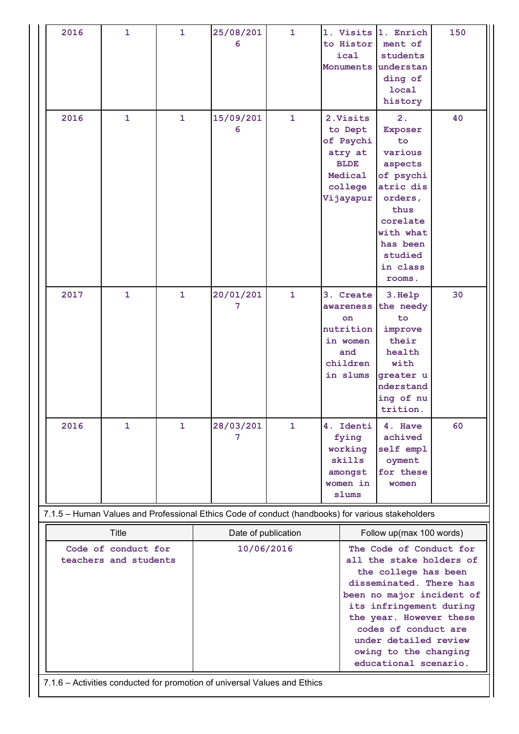| 2016 | $\mathbf{1}$                 | $\mathbf{1}$ | 25/08/201<br>6                                                                                    | $\mathbf{1}$ | 1. Visits 1. Enrich<br>to Histor<br>ical<br>Monuments understan                                | ment of<br>students<br>ding of<br>local<br>history                                                                                                                                                                                                                | 150 |
|------|------------------------------|--------------|---------------------------------------------------------------------------------------------------|--------------|------------------------------------------------------------------------------------------------|-------------------------------------------------------------------------------------------------------------------------------------------------------------------------------------------------------------------------------------------------------------------|-----|
| 2016 | $\mathbf{1}$                 | $\mathbf{1}$ | 15/09/201<br>6                                                                                    | $\mathbf{1}$ | 2. Visits<br>to Dept<br>of Psychi<br>atry at<br><b>BLDE</b><br>Medical<br>college<br>Vijayapur | 2.<br>Exposer<br>to<br>various<br>aspects<br>of psychi<br>atric dis<br>orders,<br>thus<br>corelate<br>with what<br>has been<br>studied<br>in class<br>rooms.                                                                                                      | 40  |
| 2017 | $\mathbf{1}$                 | 1            | 20/01/201<br>7                                                                                    | $\mathbf{1}$ | 3. Create<br>awareness<br>on<br>nutrition<br>in women<br>and<br>children<br>in slums           | 3. Help<br>the needy<br>to<br>improve<br>their<br>health<br>with<br>greater u<br>nderstand<br>ing of nu<br>trition.                                                                                                                                               | 30  |
| 2016 | $\mathbf{1}$                 | $\mathbf{1}$ | 28/03/201<br>7                                                                                    | $\mathbf{1}$ | 4. Identi<br>fying<br>working<br>skills<br>amongst<br>women in<br>slums                        | 4. Have<br>achived<br>self empl<br>oyment<br>for these<br>women                                                                                                                                                                                                   | 60  |
|      |                              |              | 7.1.5 - Human Values and Professional Ethics Code of conduct (handbooks) for various stakeholders |              |                                                                                                |                                                                                                                                                                                                                                                                   |     |
|      | Title<br>Code of conduct for |              | Date of publication<br>10/06/2016                                                                 |              |                                                                                                | Follow up(max 100 words)<br>The Code of Conduct for                                                                                                                                                                                                               |     |
|      | teachers and students        |              |                                                                                                   |              |                                                                                                | all the stake holders of<br>the college has been<br>disseminated. There has<br>been no major incident of<br>its infringement during<br>the year. However these<br>codes of conduct are<br>under detailed review<br>owing to the changing<br>educational scenario. |     |

7.1.6 – Activities conducted for promotion of universal Values and Ethics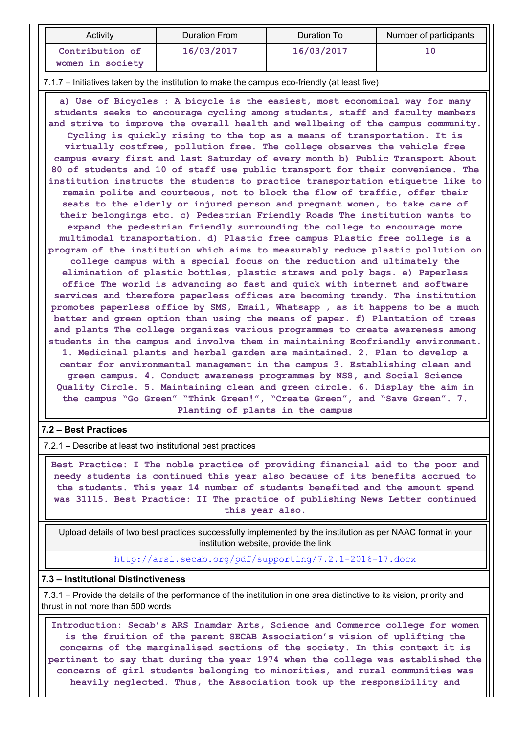| Activity                                                                                     | Duration From | Duration To | Number of participants |
|----------------------------------------------------------------------------------------------|---------------|-------------|------------------------|
| Contribution of<br>women in society                                                          | 16/03/2017    | 16/03/2017  | 10                     |
| 7.1.7 - Initiatives taken by the institution to make the campus eco-friendly (at least five) |               |             |                        |

 a) Use of Bicycles : A bicycle is the easiest, most economical way for many students seeks to encourage cycling among students, staff and faculty members and strive to improve the overall health and wellbeing of the campus community. Cycling is quickly rising to the top as a means of transportation. It is virtually costfree, pollution free. The college observes the vehicle free campus every first and last Saturday of every month b) Public Transport About 80 of students and 10 of staff use public transport for their convenience. The institution instructs the students to practice transportation etiquette like to remain polite and courteous, not to block the flow of traffic, offer their seats to the elderly or injured person and pregnant women, to take care of their belongings etc. c) Pedestrian Friendly Roads The institution wants to expand the pedestrian friendly surrounding the college to encourage more multimodal transportation. d) Plastic free campus Plastic free college is a program of the institution which aims to measurably reduce plastic pollution on college campus with a special focus on the reduction and ultimately the elimination of plastic bottles, plastic straws and poly bags. e) Paperless office The world is advancing so fast and quick with internet and software services and therefore paperless offices are becoming trendy. The institution promotes paperless office by SMS, Email, Whatsapp , as it happens to be a much better and green option than using the means of paper. f) Plantation of trees and plants The college organizes various programmes to create awareness among students in the campus and involve them in maintaining Ecofriendly environment. 1. Medicinal plants and herbal garden are maintained. 2. Plan to develop a center for environmental management in the campus 3. Establishing clean and green campus. 4. Conduct awareness programmes by NSS, and Social Science Quality Circle. 5. Maintaining clean and green circle. 6. Display the aim in the campus "Go Green" "Think Green!", "Create Green", and "Save Green". 7. Planting of plants in the campus

#### 7.2 – Best Practices

7.2.1 – Describe at least two institutional best practices

 Best Practice: I The noble practice of providing financial aid to the poor and needy students is continued this year also because of its benefits accrued to the students. This year 14 number of students benefited and the amount spend was 31115. Best Practice: II The practice of publishing News Letter continued this year also.

 Upload details of two best practices successfully implemented by the institution as per NAAC format in your institution website, provide the link

http://arsi.secab.org/pdf/supporting/7.2.1-2016-17.docx

#### 7.3 – Institutional Distinctiveness

 7.3.1 – Provide the details of the performance of the institution in one area distinctive to its vision, priority and thrust in not more than 500 words

 Introduction: Secab's ARS Inamdar Arts, Science and Commerce college for women is the fruition of the parent SECAB Association's vision of uplifting the concerns of the marginalised sections of the society. In this context it is pertinent to say that during the year 1974 when the college was established the concerns of girl students belonging to minorities, and rural communities was heavily neglected. Thus, the Association took up the responsibility and